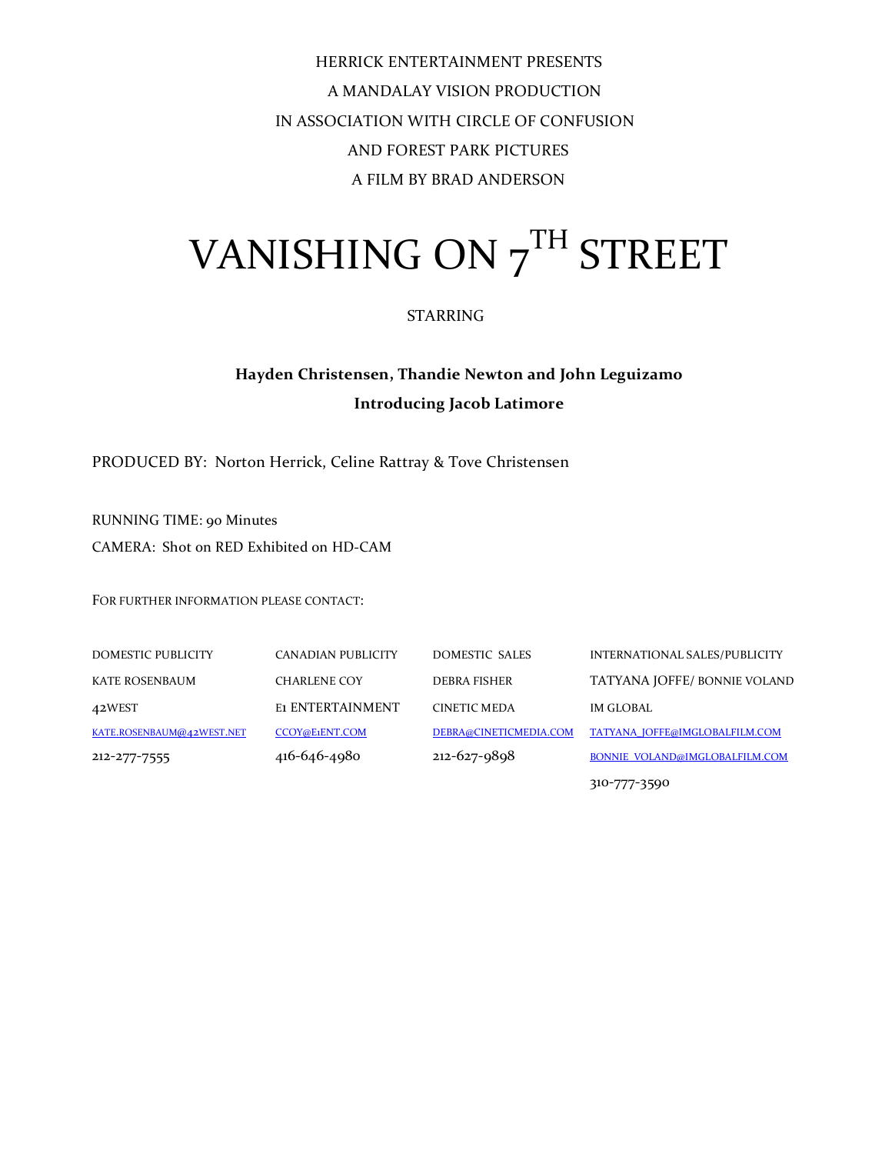HERRICK ENTERTAINMENT PRESENTS A'MANDALAY'VISION'PRODUCTION IN ASSOCIATION WITH CIRCLE OF CONFUSION AND FOREST PARK PICTURES A FILM BY BRAD ANDERSON

## VANISHING ON 7TH STREET

#### STARRING

#### **Hayden'Christensen,'Thandie'Newton'and'John'Leguizamo Introducing'Jacob'Latimore**

PRODUCED BY: Norton Herrick, Celine Rattray & Tove Christensen

RUNNING TIME: 90 Minutes CAMERA: Shot on RED Exhibited on HD-CAM

FOR FURTHER INFORMATION PLEASE CONTACT:

DOMESTIC PUBLICITY CANADIAN PUBLICITY DOMESTIC SALES INTERNATIONAL SALES/PUBLICITY KATE ROSENBAUM CHARLENE COY DEBRA FISHER TATYANA JOFFE/ BONNIE VOLAND 42WEST E1 ENTERTAINMENT CINETIC MEDA IM GLOBAL KATE.ROSENBAUM@42WEST.NET CCOY@E1ENT.COM DEBRA@CINETICMEDIA.COM TATYANA\_JOFFE@IMGLOBALFILM.COM 212-277-7555 416-646-4980 212-627-9898 BONNIE\_VOLAND@IMGLOBALFILM.COM

310-777-3590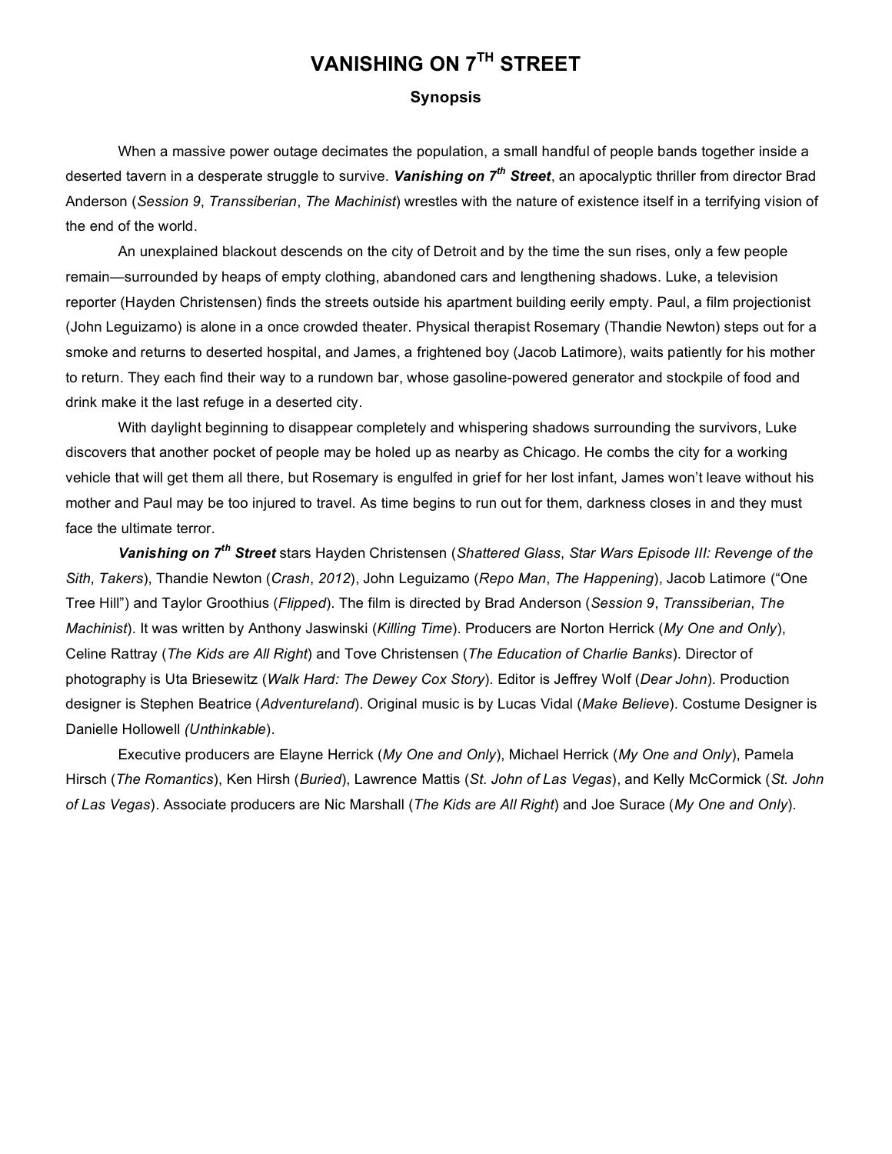### **VANISHING ON 7TH STREET**

#### **Synopsis**

When a massive power outage decimates the population, a small handful of people bands together inside a deserted tavern in a desperate struggle to survive. *Vanishing on 7th Street*, an apocalyptic thriller from director Brad Anderson (*Session 9*, *Transsiberian*, *The Machinist*) wrestles with the nature of existence itself in a terrifying vision of the end of the world.

An unexplained blackout descends on the city of Detroit and by the time the sun rises, only a few people remain—surrounded by heaps of empty clothing, abandoned cars and lengthening shadows. Luke, a television reporter (Hayden Christensen) finds the streets outside his apartment building eerily empty. Paul, a film projectionist (John Leguizamo) is alone in a once crowded theater. Physical therapist Rosemary (Thandie Newton) steps out for a smoke and returns to deserted hospital, and James, a frightened boy (Jacob Latimore), waits patiently for his mother to return. They each find their way to a rundown bar, whose gasoline-powered generator and stockpile of food and drink make it the last refuge in a deserted city.

With daylight beginning to disappear completely and whispering shadows surrounding the survivors, Luke discovers that another pocket of people may be holed up as nearby as Chicago. He combs the city for a working vehicle that will get them all there, but Rosemary is engulfed in grief for her lost infant, James won't leave without his mother and Paul may be too injured to travel. As time begins to run out for them, darkness closes in and they must face the ultimate terror.

*Vanishing on 7th Street* stars Hayden Christensen (*Shattered Glass*, *Star Wars Episode III: Revenge of the Sith*, *Takers*), Thandie Newton (*Crash*, *2012*), John Leguizamo (*Repo Man*, *The Happening*), Jacob Latimore ("One Tree Hill") and Taylor Groothius (*Flipped*). The film is directed by Brad Anderson (*Session 9*, *Transsiberian*, *The Machinist*). It was written by Anthony Jaswinski (*Killing Time*). Producers are Norton Herrick (*My One and Only*), Celine Rattray (*The Kids are All Right*) and Tove Christensen (*The Education of Charlie Banks*). Director of photography is Uta Briesewitz (*Walk Hard: The Dewey Cox Story*). Editor is Jeffrey Wolf (*Dear John*). Production designer is Stephen Beatrice (*Adventureland*). Original music is by Lucas Vidal (*Make Believe*). Costume Designer is Danielle Hollowell *(Unthinkable*).

Executive producers are Elayne Herrick (*My One and Only*), Michael Herrick (*My One and Only*), Pamela Hirsch (*The Romantics*), Ken Hirsh (*Buried*), Lawrence Mattis (*St. John of Las Vegas*), and Kelly McCormick (*St. John of Las Vegas*). Associate producers are Nic Marshall (*The Kids are All Right*) and Joe Surace (*My One and Only*).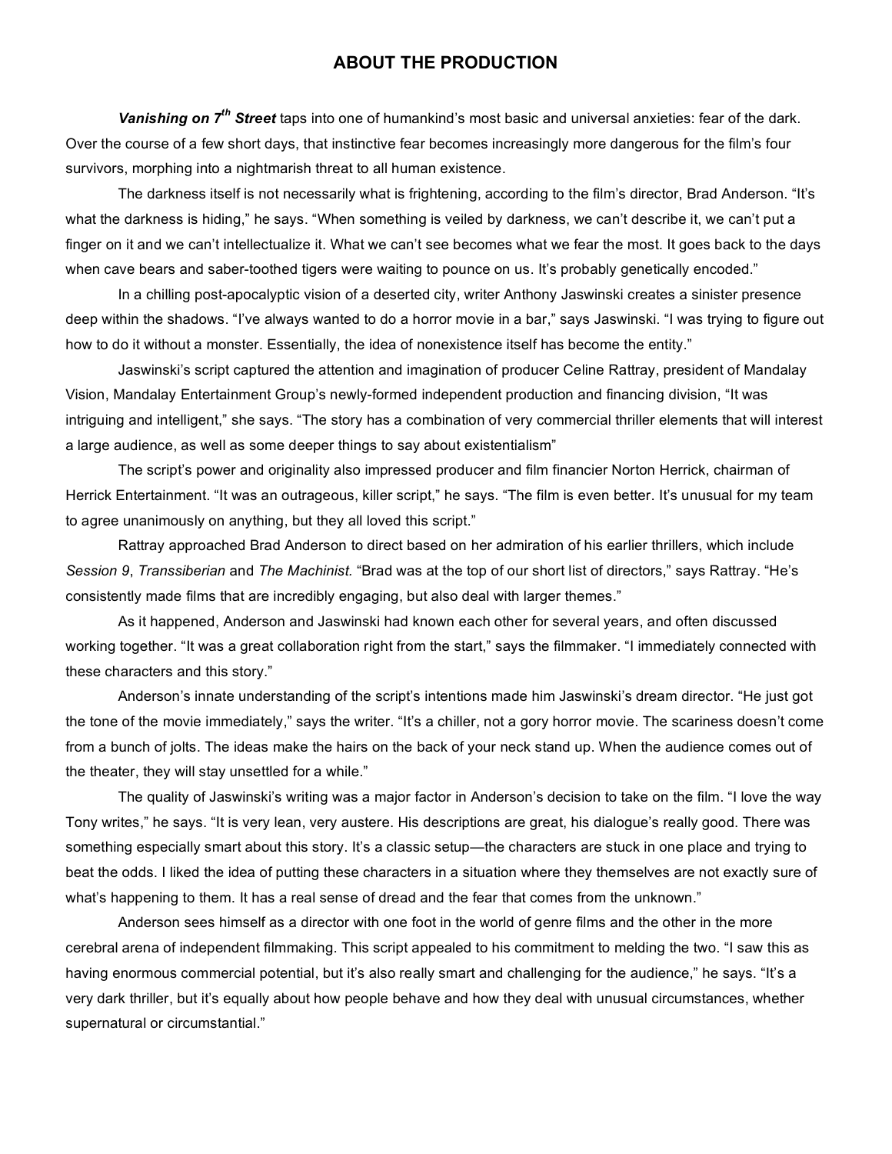#### **ABOUT THE PRODUCTION**

*Vanishing on 7th Street* taps into one of humankind's most basic and universal anxieties: fear of the dark. Over the course of a few short days, that instinctive fear becomes increasingly more dangerous for the film's four survivors, morphing into a nightmarish threat to all human existence.

The darkness itself is not necessarily what is frightening, according to the film's director, Brad Anderson. "It's what the darkness is hiding," he says. "When something is veiled by darkness, we can't describe it, we can't put a finger on it and we can't intellectualize it. What we can't see becomes what we fear the most. It goes back to the days when cave bears and saber-toothed tigers were waiting to pounce on us. It's probably genetically encoded."

In a chilling post-apocalyptic vision of a deserted city, writer Anthony Jaswinski creates a sinister presence deep within the shadows. "I've always wanted to do a horror movie in a bar," says Jaswinski. "I was trying to figure out how to do it without a monster. Essentially, the idea of nonexistence itself has become the entity."

Jaswinski's script captured the attention and imagination of producer Celine Rattray, president of Mandalay Vision, Mandalay Entertainment Group's newly-formed independent production and financing division, "It was intriguing and intelligent," she says. "The story has a combination of very commercial thriller elements that will interest a large audience, as well as some deeper things to say about existentialism"

The script's power and originality also impressed producer and film financier Norton Herrick, chairman of Herrick Entertainment. "It was an outrageous, killer script," he says. "The film is even better. It's unusual for my team to agree unanimously on anything, but they all loved this script."

Rattray approached Brad Anderson to direct based on her admiration of his earlier thrillers, which include *Session 9*, *Transsiberian* and *The Machinist.* "Brad was at the top of our short list of directors," says Rattray. "He's consistently made films that are incredibly engaging, but also deal with larger themes."

As it happened, Anderson and Jaswinski had known each other for several years, and often discussed working together. "It was a great collaboration right from the start," says the filmmaker. "I immediately connected with these characters and this story."

Anderson's innate understanding of the script's intentions made him Jaswinski's dream director. "He just got the tone of the movie immediately," says the writer. "It's a chiller, not a gory horror movie. The scariness doesn't come from a bunch of jolts. The ideas make the hairs on the back of your neck stand up. When the audience comes out of the theater, they will stay unsettled for a while."

The quality of Jaswinski's writing was a major factor in Anderson's decision to take on the film. "I love the way Tony writes," he says. "It is very lean, very austere. His descriptions are great, his dialogue's really good. There was something especially smart about this story. It's a classic setup—the characters are stuck in one place and trying to beat the odds. I liked the idea of putting these characters in a situation where they themselves are not exactly sure of what's happening to them. It has a real sense of dread and the fear that comes from the unknown."

Anderson sees himself as a director with one foot in the world of genre films and the other in the more cerebral arena of independent filmmaking. This script appealed to his commitment to melding the two. "I saw this as having enormous commercial potential, but it's also really smart and challenging for the audience," he says. "It's a very dark thriller, but it's equally about how people behave and how they deal with unusual circumstances, whether supernatural or circumstantial."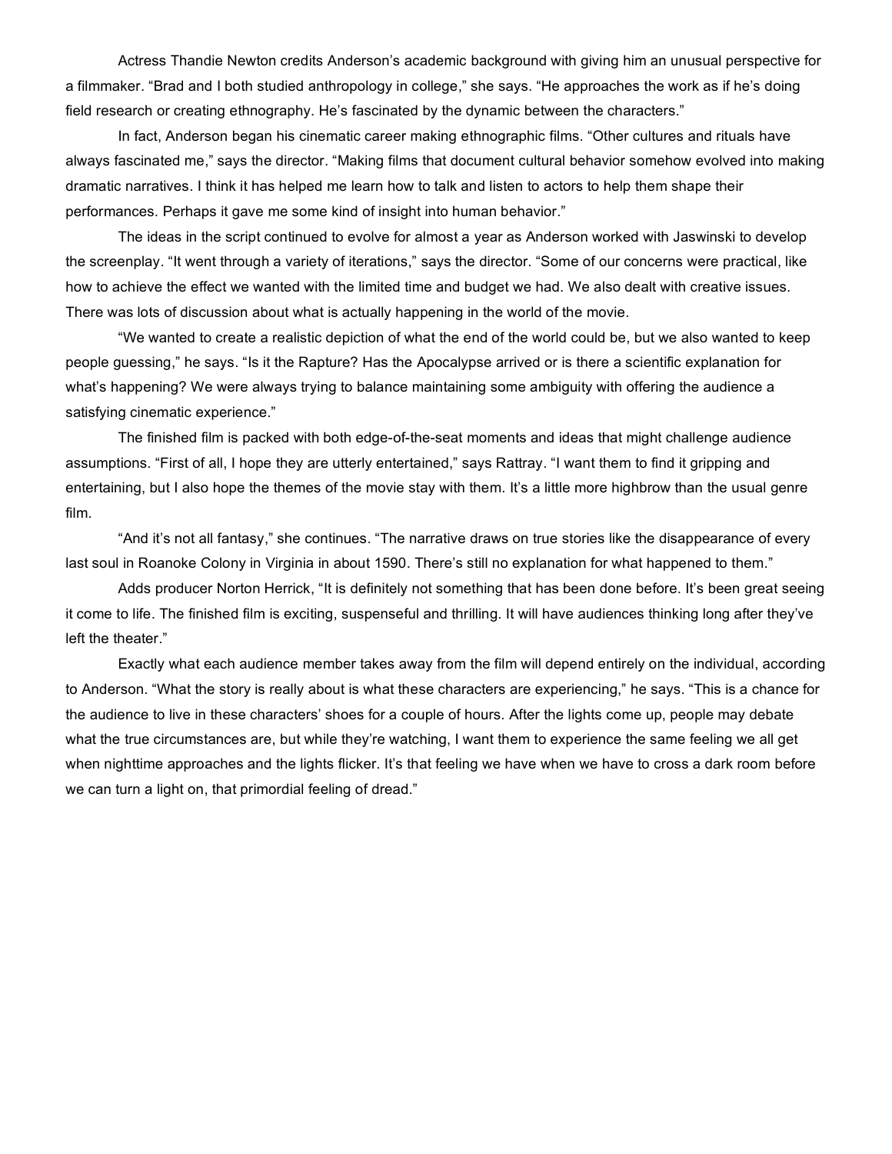Actress Thandie Newton credits Anderson's academic background with giving him an unusual perspective for a filmmaker. "Brad and I both studied anthropology in college," she says. "He approaches the work as if he's doing field research or creating ethnography. He's fascinated by the dynamic between the characters."

In fact, Anderson began his cinematic career making ethnographic films. "Other cultures and rituals have always fascinated me," says the director. "Making films that document cultural behavior somehow evolved into making dramatic narratives. I think it has helped me learn how to talk and listen to actors to help them shape their performances. Perhaps it gave me some kind of insight into human behavior."

The ideas in the script continued to evolve for almost a year as Anderson worked with Jaswinski to develop the screenplay. "It went through a variety of iterations," says the director. "Some of our concerns were practical, like how to achieve the effect we wanted with the limited time and budget we had. We also dealt with creative issues. There was lots of discussion about what is actually happening in the world of the movie.

"We wanted to create a realistic depiction of what the end of the world could be, but we also wanted to keep people guessing," he says. "Is it the Rapture? Has the Apocalypse arrived or is there a scientific explanation for what's happening? We were always trying to balance maintaining some ambiguity with offering the audience a satisfying cinematic experience."

The finished film is packed with both edge-of-the-seat moments and ideas that might challenge audience assumptions. "First of all, I hope they are utterly entertained," says Rattray. "I want them to find it gripping and entertaining, but I also hope the themes of the movie stay with them. It's a little more highbrow than the usual genre film.

"And it's not all fantasy," she continues. "The narrative draws on true stories like the disappearance of every last soul in Roanoke Colony in Virginia in about 1590. There's still no explanation for what happened to them."

Adds producer Norton Herrick, "It is definitely not something that has been done before. It's been great seeing it come to life. The finished film is exciting, suspenseful and thrilling. It will have audiences thinking long after they've left the theater."

Exactly what each audience member takes away from the film will depend entirely on the individual, according to Anderson. "What the story is really about is what these characters are experiencing," he says. "This is a chance for the audience to live in these characters' shoes for a couple of hours. After the lights come up, people may debate what the true circumstances are, but while they're watching, I want them to experience the same feeling we all get when nighttime approaches and the lights flicker. It's that feeling we have when we have to cross a dark room before we can turn a light on, that primordial feeling of dread."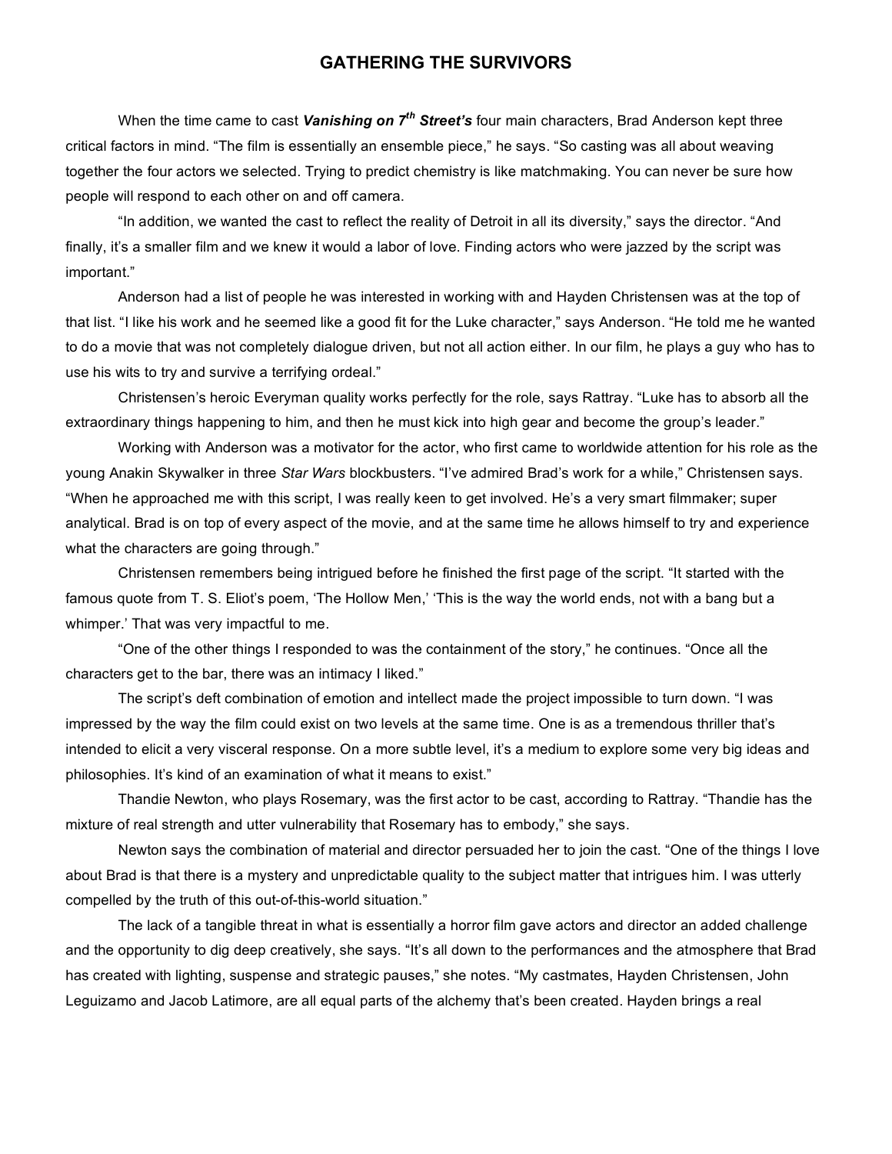#### **GATHERING THE SURVIVORS**

When the time came to cast *Vanishing on 7th Street's* four main characters, Brad Anderson kept three critical factors in mind. "The film is essentially an ensemble piece," he says. "So casting was all about weaving together the four actors we selected. Trying to predict chemistry is like matchmaking. You can never be sure how people will respond to each other on and off camera.

"In addition, we wanted the cast to reflect the reality of Detroit in all its diversity," says the director. "And finally, it's a smaller film and we knew it would a labor of love. Finding actors who were jazzed by the script was important."

Anderson had a list of people he was interested in working with and Hayden Christensen was at the top of that list. "I like his work and he seemed like a good fit for the Luke character," says Anderson. "He told me he wanted to do a movie that was not completely dialogue driven, but not all action either. In our film, he plays a guy who has to use his wits to try and survive a terrifying ordeal."

Christensen's heroic Everyman quality works perfectly for the role, says Rattray. "Luke has to absorb all the extraordinary things happening to him, and then he must kick into high gear and become the group's leader."

Working with Anderson was a motivator for the actor, who first came to worldwide attention for his role as the young Anakin Skywalker in three *Star Wars* blockbusters. "I've admired Brad's work for a while," Christensen says. "When he approached me with this script, I was really keen to get involved. He's a very smart filmmaker; super analytical. Brad is on top of every aspect of the movie, and at the same time he allows himself to try and experience what the characters are going through."

Christensen remembers being intrigued before he finished the first page of the script. "It started with the famous quote from T. S. Eliot's poem, 'The Hollow Men,' 'This is the way the world ends, not with a bang but a whimper.' That was very impactful to me.

"One of the other things I responded to was the containment of the story," he continues. "Once all the characters get to the bar, there was an intimacy I liked."

The script's deft combination of emotion and intellect made the project impossible to turn down. "I was impressed by the way the film could exist on two levels at the same time. One is as a tremendous thriller that's intended to elicit a very visceral response. On a more subtle level, it's a medium to explore some very big ideas and philosophies. It's kind of an examination of what it means to exist."

Thandie Newton, who plays Rosemary, was the first actor to be cast, according to Rattray. "Thandie has the mixture of real strength and utter vulnerability that Rosemary has to embody," she says.

Newton says the combination of material and director persuaded her to join the cast. "One of the things I love about Brad is that there is a mystery and unpredictable quality to the subject matter that intrigues him. I was utterly compelled by the truth of this out-of-this-world situation."

The lack of a tangible threat in what is essentially a horror film gave actors and director an added challenge and the opportunity to dig deep creatively, she says. "It's all down to the performances and the atmosphere that Brad has created with lighting, suspense and strategic pauses," she notes. "My castmates, Hayden Christensen, John Leguizamo and Jacob Latimore, are all equal parts of the alchemy that's been created. Hayden brings a real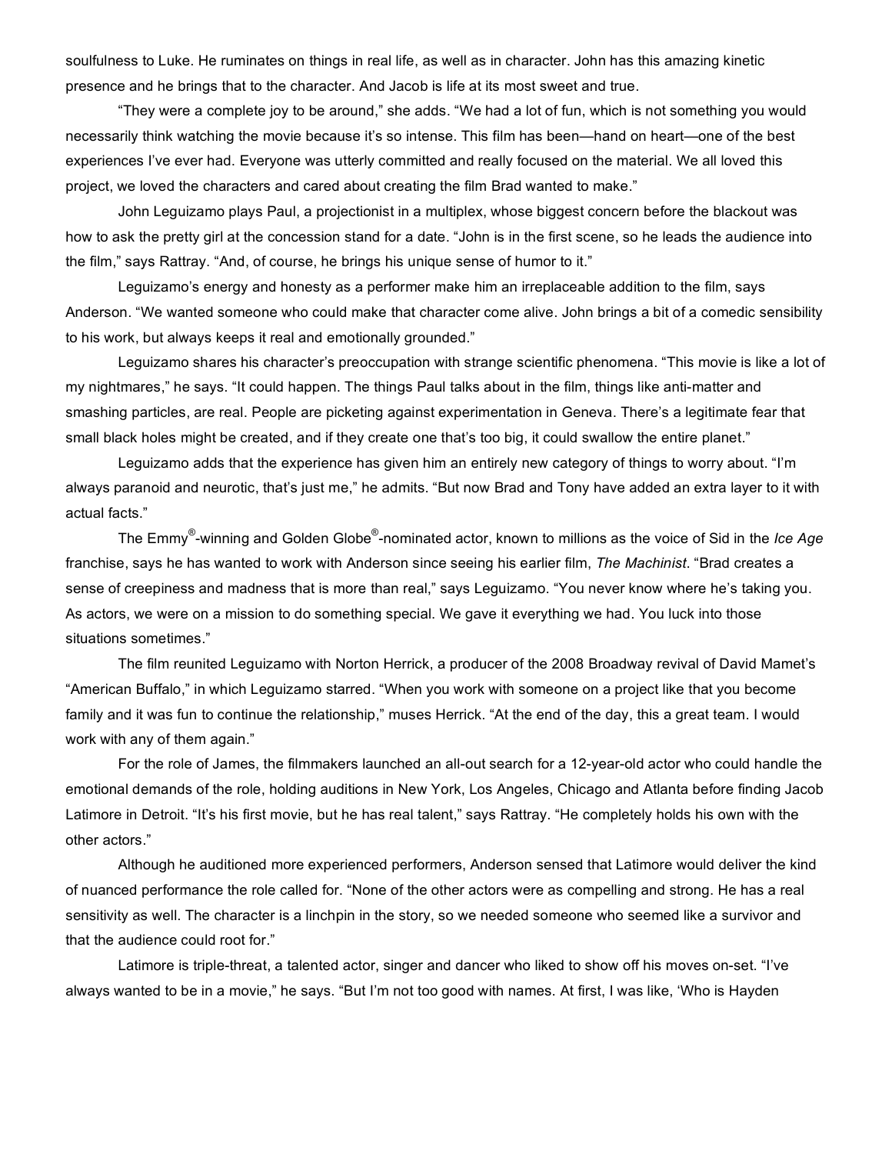soulfulness to Luke. He ruminates on things in real life, as well as in character. John has this amazing kinetic presence and he brings that to the character. And Jacob is life at its most sweet and true.

"They were a complete joy to be around," she adds. "We had a lot of fun, which is not something you would necessarily think watching the movie because it's so intense. This film has been—hand on heart—one of the best experiences I've ever had. Everyone was utterly committed and really focused on the material. We all loved this project, we loved the characters and cared about creating the film Brad wanted to make."

John Leguizamo plays Paul, a projectionist in a multiplex, whose biggest concern before the blackout was how to ask the pretty girl at the concession stand for a date. "John is in the first scene, so he leads the audience into the film," says Rattray. "And, of course, he brings his unique sense of humor to it."

Leguizamo's energy and honesty as a performer make him an irreplaceable addition to the film, says Anderson. "We wanted someone who could make that character come alive. John brings a bit of a comedic sensibility to his work, but always keeps it real and emotionally grounded."

Leguizamo shares his character's preoccupation with strange scientific phenomena. "This movie is like a lot of my nightmares," he says. "It could happen. The things Paul talks about in the film, things like anti-matter and smashing particles, are real. People are picketing against experimentation in Geneva. There's a legitimate fear that small black holes might be created, and if they create one that's too big, it could swallow the entire planet."

Leguizamo adds that the experience has given him an entirely new category of things to worry about. "I'm always paranoid and neurotic, that's just me," he admits. "But now Brad and Tony have added an extra layer to it with actual facts."

The Emmy® -winning and Golden Globe® -nominated actor, known to millions as the voice of Sid in the *Ice Age* franchise, says he has wanted to work with Anderson since seeing his earlier film, *The Machinist*. "Brad creates a sense of creepiness and madness that is more than real," says Leguizamo. "You never know where he's taking you. As actors, we were on a mission to do something special. We gave it everything we had. You luck into those situations sometimes."

The film reunited Leguizamo with Norton Herrick, a producer of the 2008 Broadway revival of David Mamet's "American Buffalo," in which Leguizamo starred. "When you work with someone on a project like that you become family and it was fun to continue the relationship," muses Herrick. "At the end of the day, this a great team. I would work with any of them again."

For the role of James, the filmmakers launched an all-out search for a 12-year-old actor who could handle the emotional demands of the role, holding auditions in New York, Los Angeles, Chicago and Atlanta before finding Jacob Latimore in Detroit. "It's his first movie, but he has real talent," says Rattray. "He completely holds his own with the other actors."

Although he auditioned more experienced performers, Anderson sensed that Latimore would deliver the kind of nuanced performance the role called for. "None of the other actors were as compelling and strong. He has a real sensitivity as well. The character is a linchpin in the story, so we needed someone who seemed like a survivor and that the audience could root for."

Latimore is triple-threat, a talented actor, singer and dancer who liked to show off his moves on-set. "I've always wanted to be in a movie," he says. "But I'm not too good with names. At first, I was like, 'Who is Hayden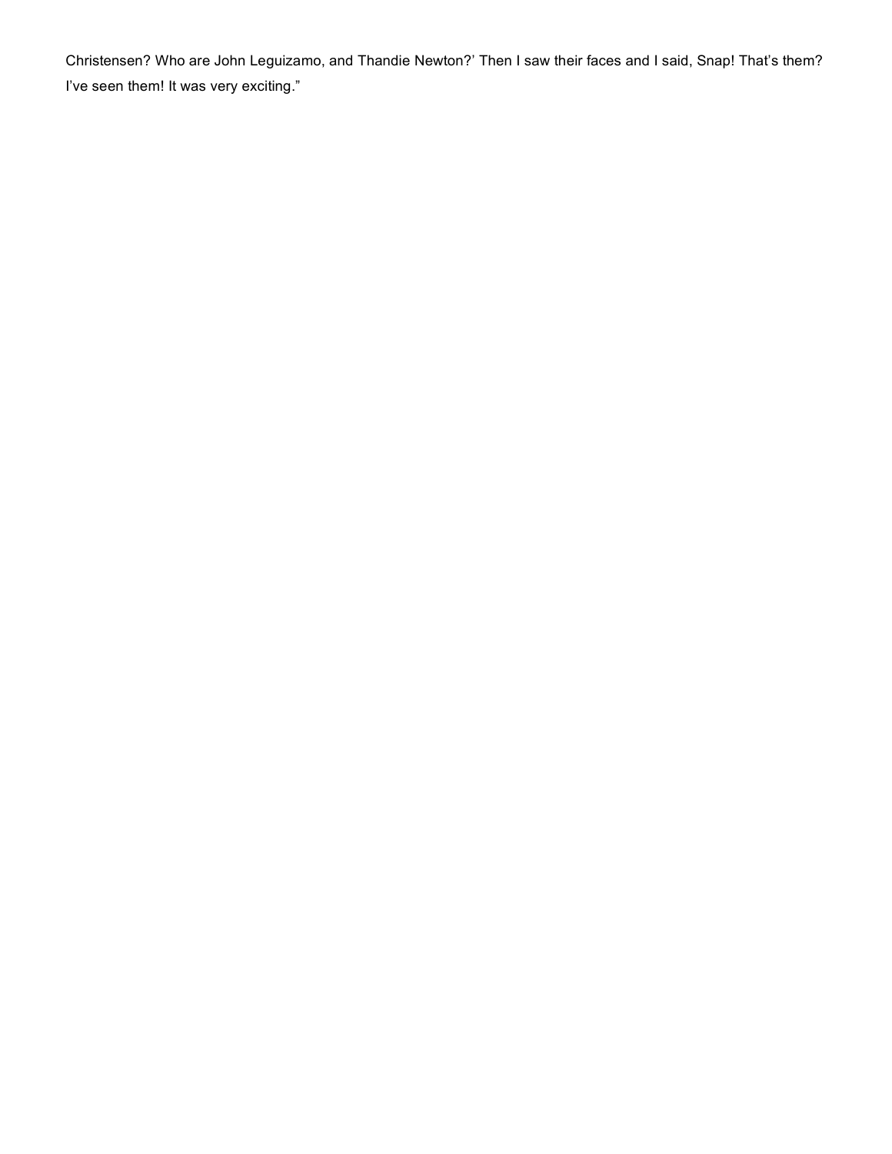Christensen? Who are John Leguizamo, and Thandie Newton?' Then I saw their faces and I said, Snap! That's them? I've seen them! It was very exciting."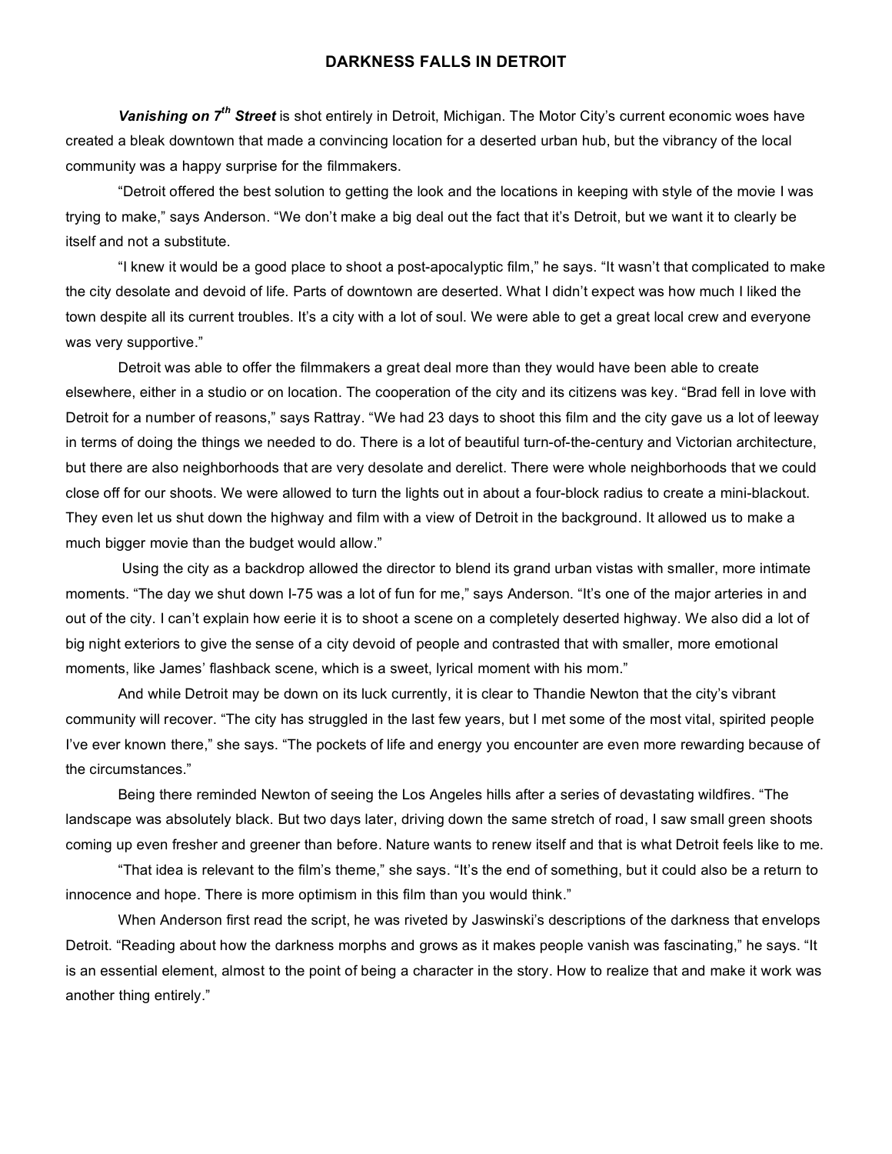#### **DARKNESS FALLS IN DETROIT**

*Vanishing on 7th Street* is shot entirely in Detroit, Michigan. The Motor City's current economic woes have created a bleak downtown that made a convincing location for a deserted urban hub, but the vibrancy of the local community was a happy surprise for the filmmakers.

"Detroit offered the best solution to getting the look and the locations in keeping with style of the movie I was trying to make," says Anderson. "We don't make a big deal out the fact that it's Detroit, but we want it to clearly be itself and not a substitute.

"I knew it would be a good place to shoot a post-apocalyptic film," he says. "It wasn't that complicated to make the city desolate and devoid of life. Parts of downtown are deserted. What I didn't expect was how much I liked the town despite all its current troubles. It's a city with a lot of soul. We were able to get a great local crew and everyone was very supportive."

Detroit was able to offer the filmmakers a great deal more than they would have been able to create elsewhere, either in a studio or on location. The cooperation of the city and its citizens was key. "Brad fell in love with Detroit for a number of reasons," says Rattray. "We had 23 days to shoot this film and the city gave us a lot of leeway in terms of doing the things we needed to do. There is a lot of beautiful turn-of-the-century and Victorian architecture, but there are also neighborhoods that are very desolate and derelict. There were whole neighborhoods that we could close off for our shoots. We were allowed to turn the lights out in about a four-block radius to create a mini-blackout. They even let us shut down the highway and film with a view of Detroit in the background. It allowed us to make a much bigger movie than the budget would allow."

 Using the city as a backdrop allowed the director to blend its grand urban vistas with smaller, more intimate moments. "The day we shut down I-75 was a lot of fun for me," says Anderson. "It's one of the major arteries in and out of the city. I can't explain how eerie it is to shoot a scene on a completely deserted highway. We also did a lot of big night exteriors to give the sense of a city devoid of people and contrasted that with smaller, more emotional moments, like James' flashback scene, which is a sweet, lyrical moment with his mom."

And while Detroit may be down on its luck currently, it is clear to Thandie Newton that the city's vibrant community will recover. "The city has struggled in the last few years, but I met some of the most vital, spirited people I've ever known there," she says. "The pockets of life and energy you encounter are even more rewarding because of the circumstances."

Being there reminded Newton of seeing the Los Angeles hills after a series of devastating wildfires. "The landscape was absolutely black. But two days later, driving down the same stretch of road, I saw small green shoots coming up even fresher and greener than before. Nature wants to renew itself and that is what Detroit feels like to me.

"That idea is relevant to the film's theme," she says. "It's the end of something, but it could also be a return to innocence and hope. There is more optimism in this film than you would think."

When Anderson first read the script, he was riveted by Jaswinski's descriptions of the darkness that envelops Detroit. "Reading about how the darkness morphs and grows as it makes people vanish was fascinating," he says. "It is an essential element, almost to the point of being a character in the story. How to realize that and make it work was another thing entirely."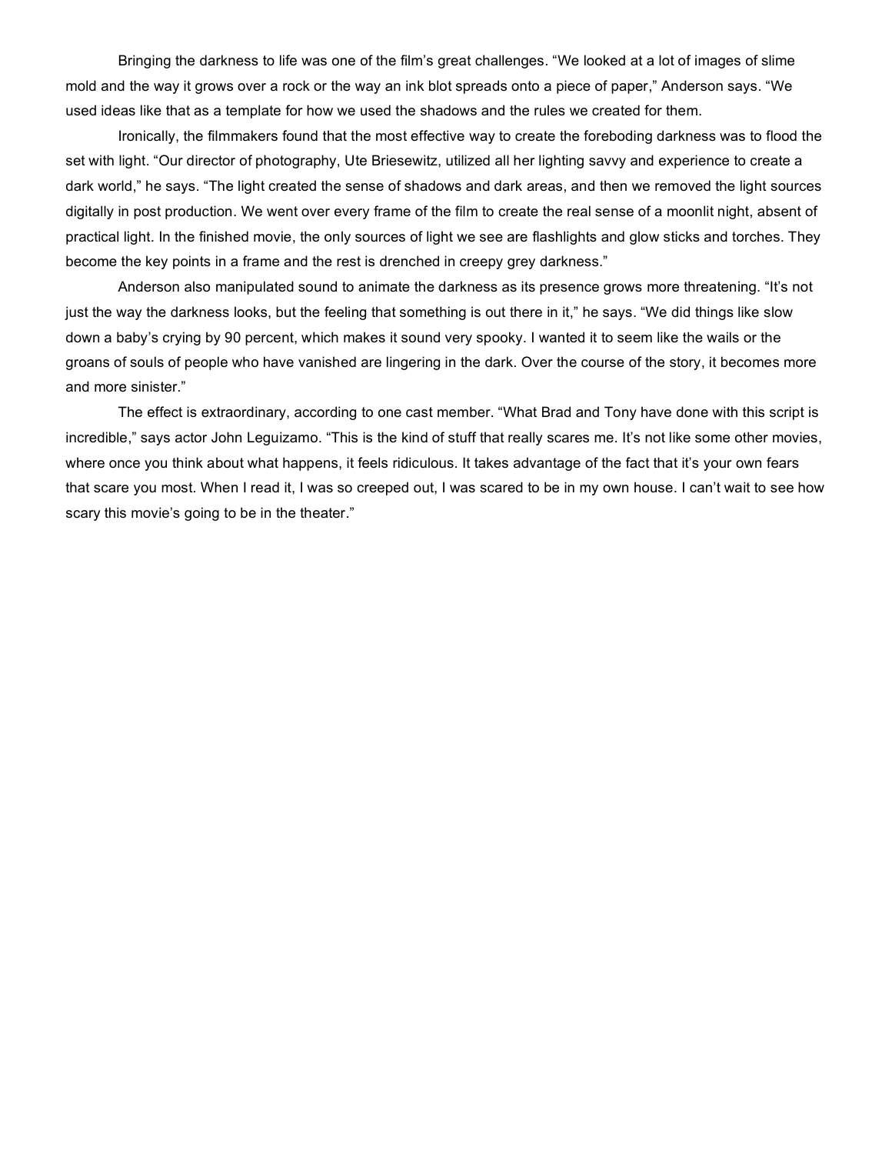Bringing the darkness to life was one of the film's great challenges. "We looked at a lot of images of slime mold and the way it grows over a rock or the way an ink blot spreads onto a piece of paper," Anderson says. "We used ideas like that as a template for how we used the shadows and the rules we created for them.

Ironically, the filmmakers found that the most effective way to create the foreboding darkness was to flood the set with light. "Our director of photography, Ute Briesewitz, utilized all her lighting savvy and experience to create a dark world," he says. "The light created the sense of shadows and dark areas, and then we removed the light sources digitally in post production. We went over every frame of the film to create the real sense of a moonlit night, absent of practical light. In the finished movie, the only sources of light we see are flashlights and glow sticks and torches. They become the key points in a frame and the rest is drenched in creepy grey darkness."

Anderson also manipulated sound to animate the darkness as its presence grows more threatening. "It's not just the way the darkness looks, but the feeling that something is out there in it," he says. "We did things like slow down a baby's crying by 90 percent, which makes it sound very spooky. I wanted it to seem like the wails or the groans of souls of people who have vanished are lingering in the dark. Over the course of the story, it becomes more and more sinister."

The effect is extraordinary, according to one cast member. "What Brad and Tony have done with this script is incredible," says actor John Leguizamo. "This is the kind of stuff that really scares me. It's not like some other movies, where once you think about what happens, it feels ridiculous. It takes advantage of the fact that it's your own fears that scare you most. When I read it, I was so creeped out, I was scared to be in my own house. I can't wait to see how scary this movie's going to be in the theater."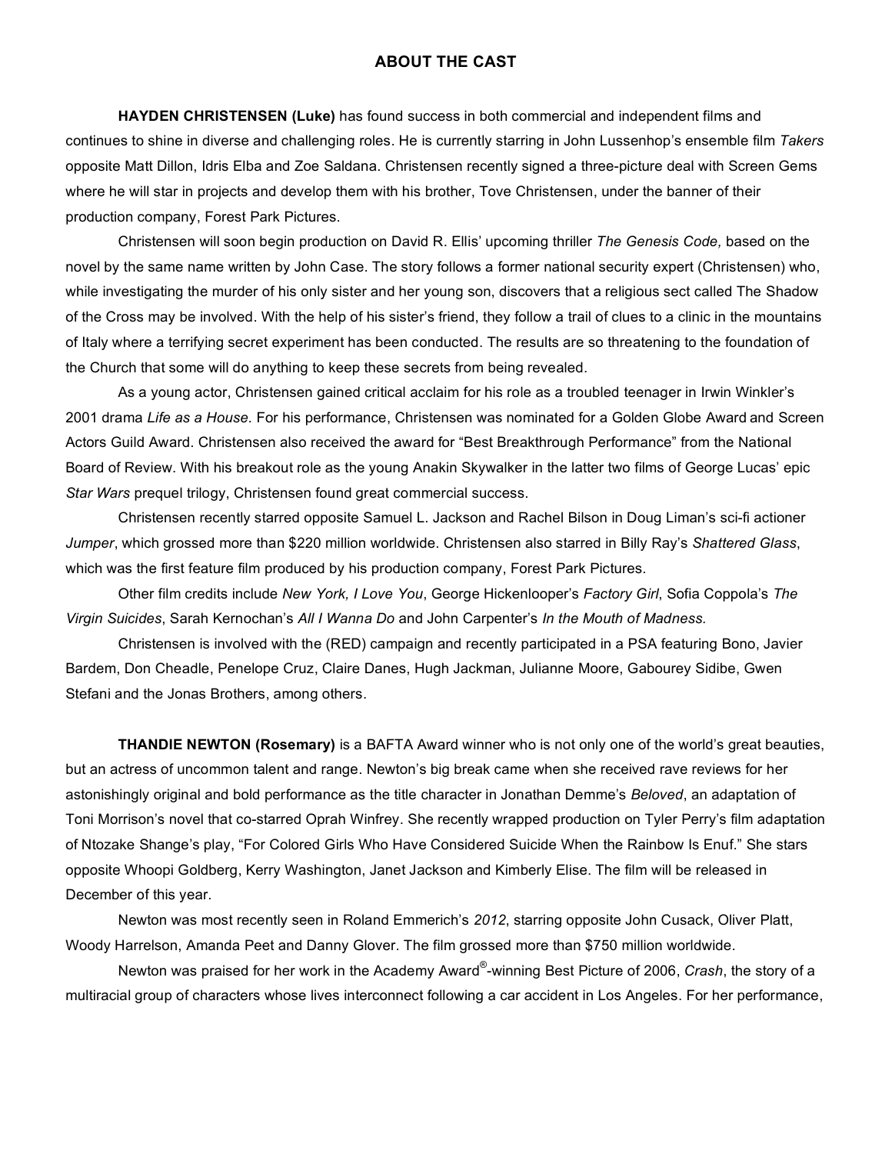#### **ABOUT THE CAST**

**HAYDEN CHRISTENSEN (Luke)** has found success in both commercial and independent films and continues to shine in diverse and challenging roles. He is currently starring in John Lussenhop's ensemble film *Takers* opposite Matt Dillon, Idris Elba and Zoe Saldana. Christensen recently signed a three-picture deal with Screen Gems where he will star in projects and develop them with his brother, Tove Christensen, under the banner of their production company, Forest Park Pictures.

Christensen will soon begin production on David R. Ellis' upcoming thriller *The Genesis Code,* based on the novel by the same name written by John Case. The story follows a former national security expert (Christensen) who, while investigating the murder of his only sister and her young son, discovers that a religious sect called The Shadow of the Cross may be involved. With the help of his sister's friend, they follow a trail of clues to a clinic in the mountains of Italy where a terrifying secret experiment has been conducted. The results are so threatening to the foundation of the Church that some will do anything to keep these secrets from being revealed.

As a young actor, Christensen gained critical acclaim for his role as a troubled teenager in Irwin Winkler's 2001 drama *Life as a House.* For his performance, Christensen was nominated for a Golden Globe Award and Screen Actors Guild Award. Christensen also received the award for "Best Breakthrough Performance" from the National Board of Review. With his breakout role as the young Anakin Skywalker in the latter two films of George Lucas' epic *Star Wars* prequel trilogy, Christensen found great commercial success.

Christensen recently starred opposite Samuel L. Jackson and Rachel Bilson in Doug Liman's sci-fi actioner *Jumper*, which grossed more than \$220 million worldwide. Christensen also starred in Billy Ray's *Shattered Glass*, which was the first feature film produced by his production company, Forest Park Pictures.

Other film credits include *New York, I Love You*, George Hickenlooper's *Factory Girl*, Sofia Coppola's *The Virgin Suicides*, Sarah Kernochan's *All I Wanna Do* and John Carpenter's *In the Mouth of Madness.*

Christensen is involved with the (RED) campaign and recently participated in a PSA featuring Bono, Javier Bardem, Don Cheadle, Penelope Cruz, Claire Danes, Hugh Jackman, Julianne Moore, Gabourey Sidibe, Gwen Stefani and the Jonas Brothers, among others.

**THANDIE NEWTON (Rosemary)** is a BAFTA Award winner who is not only one of the world's great beauties, but an actress of uncommon talent and range. Newton's big break came when she received rave reviews for her astonishingly original and bold performance as the title character in Jonathan Demme's *Beloved*, an adaptation of Toni Morrison's novel that co-starred Oprah Winfrey. She recently wrapped production on Tyler Perry's film adaptation of Ntozake Shange's play, "For Colored Girls Who Have Considered Suicide When the Rainbow Is Enuf." She stars opposite Whoopi Goldberg, Kerry Washington, Janet Jackson and Kimberly Elise. The film will be released in December of this year.

Newton was most recently seen in Roland Emmerich's *2012*, starring opposite John Cusack, Oliver Platt, Woody Harrelson, Amanda Peet and Danny Glover. The film grossed more than \$750 million worldwide.

Newton was praised for her work in the Academy Award® -winning Best Picture of 2006, *Crash*, the story of a multiracial group of characters whose lives interconnect following a car accident in Los Angeles. For her performance,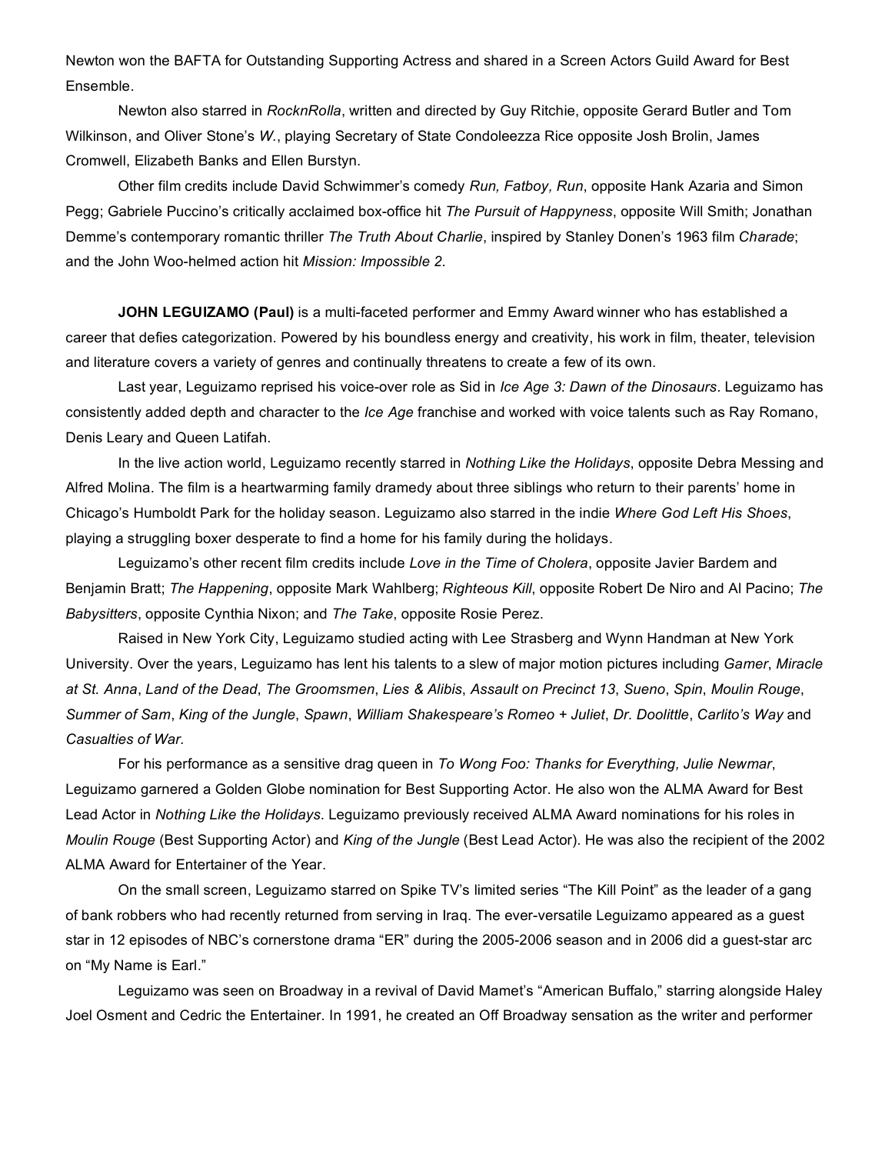Newton won the BAFTA for Outstanding Supporting Actress and shared in a Screen Actors Guild Award for Best Ensemble.

Newton also starred in *RocknRolla*, written and directed by Guy Ritchie, opposite Gerard Butler and Tom Wilkinson, and Oliver Stone's *W.*, playing Secretary of State Condoleezza Rice opposite Josh Brolin, James Cromwell, Elizabeth Banks and Ellen Burstyn.

Other film credits include David Schwimmer's comedy *Run, Fatboy, Run*, opposite Hank Azaria and Simon Pegg; Gabriele Puccino's critically acclaimed box-office hit *The Pursuit of Happyness*, opposite Will Smith; Jonathan Demme's contemporary romantic thriller *The Truth About Charlie*, inspired by Stanley Donen's 1963 film *Charade*; and the John Woo-helmed action hit *Mission: Impossible 2*.

**JOHN LEGUIZAMO (Paul)** is a multi-faceted performer and Emmy Award winner who has established a career that defies categorization. Powered by his boundless energy and creativity, his work in film, theater, television and literature covers a variety of genres and continually threatens to create a few of its own.

Last year, Leguizamo reprised his voice-over role as Sid in *Ice Age 3: Dawn of the Dinosaurs*. Leguizamo has consistently added depth and character to the *Ice Age* franchise and worked with voice talents such as Ray Romano, Denis Leary and Queen Latifah.

In the live action world, Leguizamo recently starred in *Nothing Like the Holidays*, opposite Debra Messing and Alfred Molina. The film is a heartwarming family dramedy about three siblings who return to their parents' home in Chicago's Humboldt Park for the holiday season. Leguizamo also starred in the indie *Where God Left His Shoes*, playing a struggling boxer desperate to find a home for his family during the holidays.

Leguizamo's other recent film credits include *Love in the Time of Cholera*, opposite Javier Bardem and Benjamin Bratt; *The Happening*, opposite Mark Wahlberg; *Righteous Kill*, opposite Robert De Niro and Al Pacino; *The Babysitters*, opposite Cynthia Nixon; and *The Take*, opposite Rosie Perez.

Raised in New York City, Leguizamo studied acting with Lee Strasberg and Wynn Handman at New York University. Over the years, Leguizamo has lent his talents to a slew of major motion pictures including *Gamer*, *Miracle at St. Anna*, *Land of the Dead*, *The Groomsmen*, *Lies & Alibis*, *Assault on Precinct 13*, *Sueno*, *Spin*, *Moulin Rouge*, *Summer of Sam*, *King of the Jungle*, *Spawn*, *William Shakespeare's Romeo + Juliet*, *Dr. Doolittle*, *Carlito's Way* and *Casualties of War.*

For his performance as a sensitive drag queen in *To Wong Foo: Thanks for Everything, Julie Newmar*, Leguizamo garnered a Golden Globe nomination for Best Supporting Actor. He also won the ALMA Award for Best Lead Actor in *Nothing Like the Holidays*. Leguizamo previously received ALMA Award nominations for his roles in *Moulin Rouge* (Best Supporting Actor) and *King of the Jungle* (Best Lead Actor). He was also the recipient of the 2002 ALMA Award for Entertainer of the Year.

On the small screen, Leguizamo starred on Spike TV's limited series "The Kill Point" as the leader of a gang of bank robbers who had recently returned from serving in Iraq. The ever-versatile Leguizamo appeared as a guest star in 12 episodes of NBC's cornerstone drama "ER" during the 2005-2006 season and in 2006 did a guest-star arc on "My Name is Earl."

Leguizamo was seen on Broadway in a revival of David Mamet's "American Buffalo," starring alongside Haley Joel Osment and Cedric the Entertainer. In 1991, he created an Off Broadway sensation as the writer and performer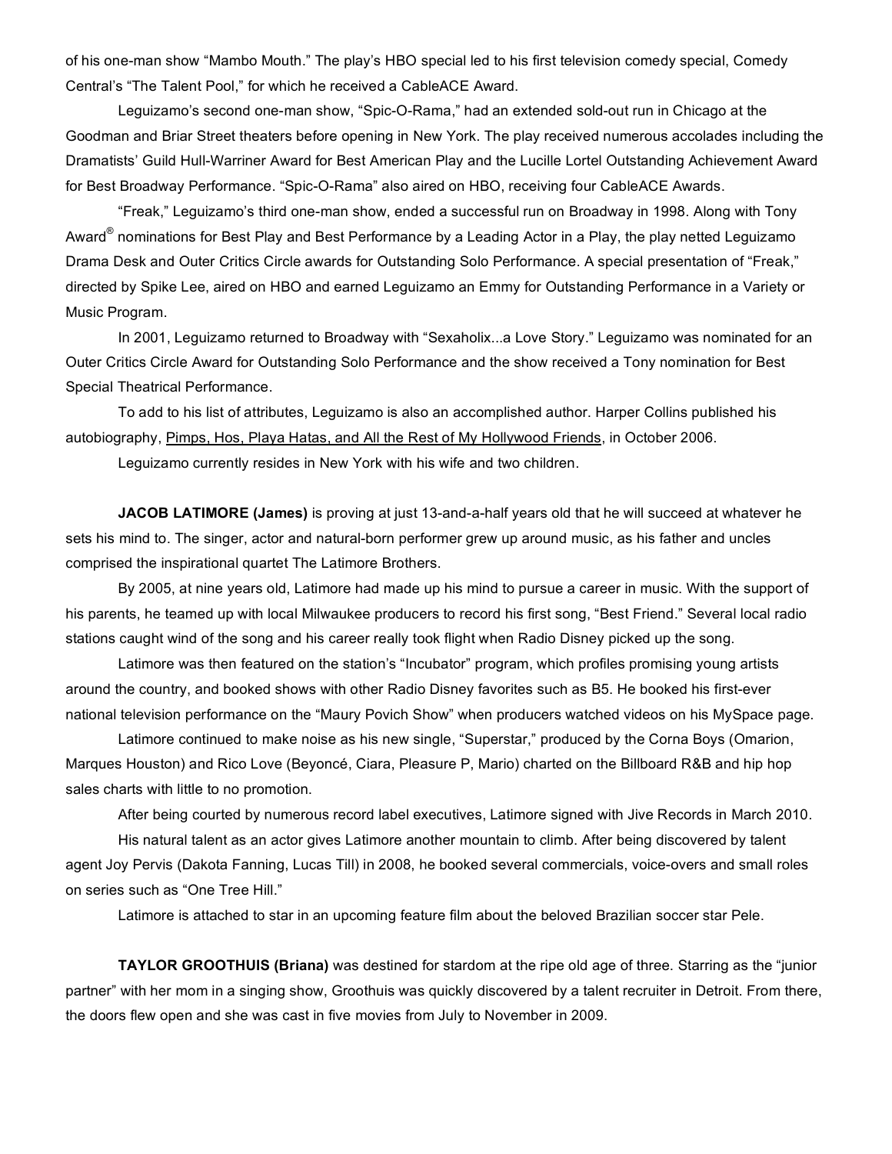of his one-man show "Mambo Mouth." The play's HBO special led to his first television comedy special, Comedy Central's "The Talent Pool," for which he received a CableACE Award.

Leguizamo's second one-man show, "Spic-O-Rama," had an extended sold-out run in Chicago at the Goodman and Briar Street theaters before opening in New York. The play received numerous accolades including the Dramatists' Guild Hull-Warriner Award for Best American Play and the Lucille Lortel Outstanding Achievement Award for Best Broadway Performance. "Spic-O-Rama" also aired on HBO, receiving four CableACE Awards.

"Freak," Leguizamo's third one-man show, ended a successful run on Broadway in 1998. Along with Tony Award<sup>®</sup> nominations for Best Play and Best Performance by a Leading Actor in a Play, the play netted Leguizamo Drama Desk and Outer Critics Circle awards for Outstanding Solo Performance. A special presentation of "Freak," directed by Spike Lee, aired on HBO and earned Leguizamo an Emmy for Outstanding Performance in a Variety or Music Program.

In 2001, Leguizamo returned to Broadway with "Sexaholix...a Love Story." Leguizamo was nominated for an Outer Critics Circle Award for Outstanding Solo Performance and the show received a Tony nomination for Best Special Theatrical Performance.

To add to his list of attributes, Leguizamo is also an accomplished author. Harper Collins published his autobiography, Pimps, Hos, Playa Hatas, and All the Rest of My Hollywood Friends, in October 2006.

Leguizamo currently resides in New York with his wife and two children.

**JACOB LATIMORE (James)** is proving at just 13-and-a-half years old that he will succeed at whatever he sets his mind to. The singer, actor and natural-born performer grew up around music, as his father and uncles comprised the inspirational quartet The Latimore Brothers.

By 2005, at nine years old, Latimore had made up his mind to pursue a career in music. With the support of his parents, he teamed up with local Milwaukee producers to record his first song, "Best Friend." Several local radio stations caught wind of the song and his career really took flight when Radio Disney picked up the song.

Latimore was then featured on the station's "Incubator" program, which profiles promising young artists around the country, and booked shows with other Radio Disney favorites such as B5. He booked his first-ever national television performance on the "Maury Povich Show" when producers watched videos on his MySpace page.

Latimore continued to make noise as his new single, "Superstar," produced by the Corna Boys (Omarion, Marques Houston) and Rico Love (Beyoncé, Ciara, Pleasure P, Mario) charted on the Billboard R&B and hip hop sales charts with little to no promotion.

After being courted by numerous record label executives, Latimore signed with Jive Records in March 2010.

His natural talent as an actor gives Latimore another mountain to climb. After being discovered by talent agent Joy Pervis (Dakota Fanning, Lucas Till) in 2008, he booked several commercials, voice-overs and small roles on series such as "One Tree Hill."

Latimore is attached to star in an upcoming feature film about the beloved Brazilian soccer star Pele.

**TAYLOR GROOTHUIS (Briana)** was destined for stardom at the ripe old age of three. Starring as the "junior partner" with her mom in a singing show, Groothuis was quickly discovered by a talent recruiter in Detroit. From there, the doors flew open and she was cast in five movies from July to November in 2009.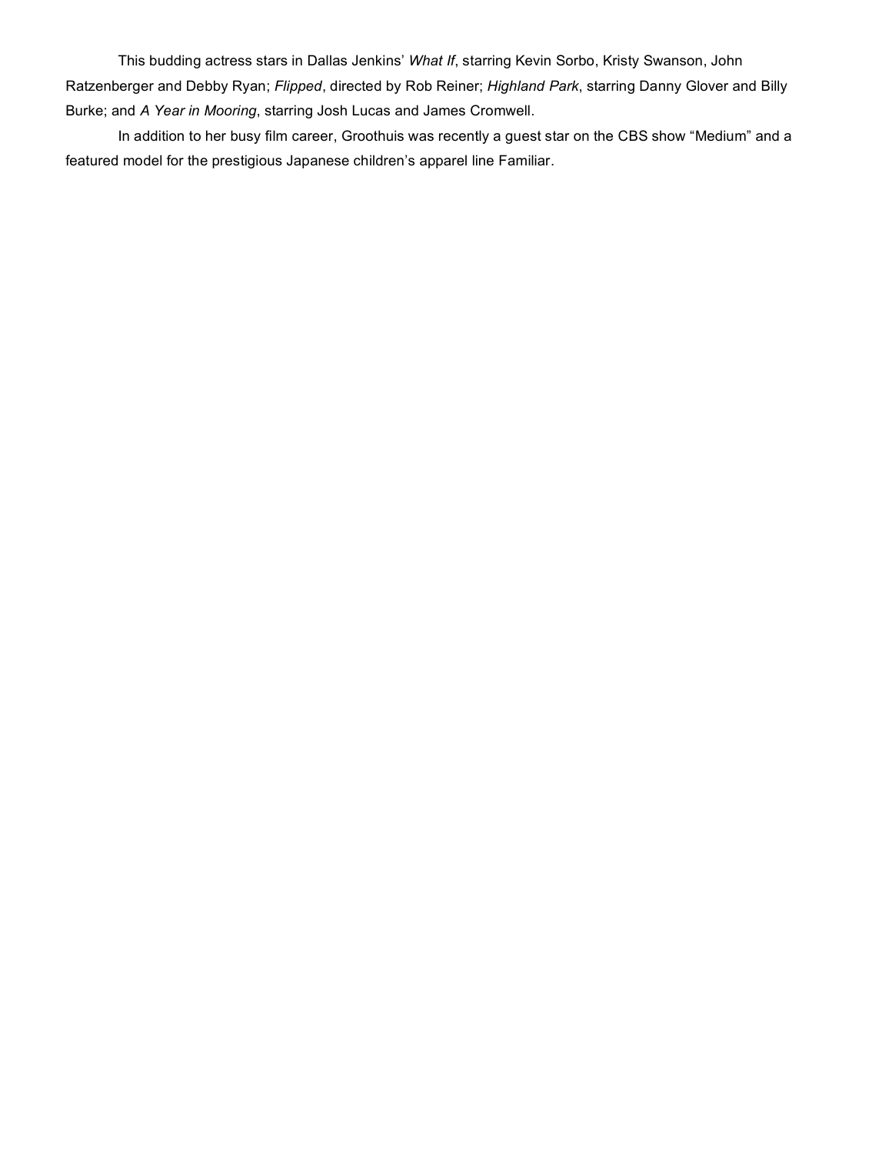This budding actress stars in Dallas Jenkins' *What If*, starring Kevin Sorbo, Kristy Swanson, John Ratzenberger and Debby Ryan; *Flipped*, directed by Rob Reiner; *Highland Park*, starring Danny Glover and Billy Burke; and *A Year in Mooring*, starring Josh Lucas and James Cromwell.

In addition to her busy film career, Groothuis was recently a guest star on the CBS show "Medium" and a featured model for the prestigious Japanese children's apparel line Familiar.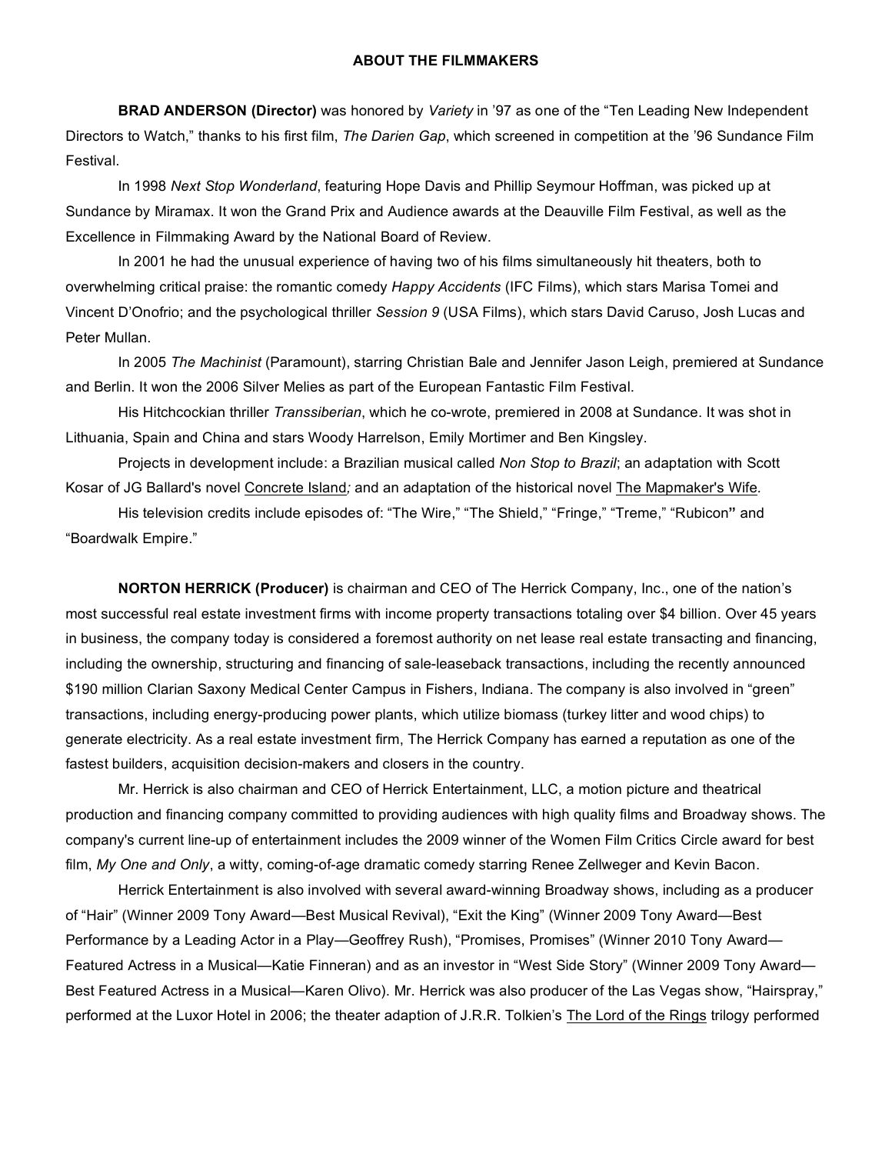#### **ABOUT THE FILMMAKERS**

**BRAD ANDERSON (Director)** was honored by *Variety* in '97 as one of the "Ten Leading New Independent Directors to Watch," thanks to his first film, *The Darien Gap*, which screened in competition at the '96 Sundance Film Festival.

In 1998 *Next Stop Wonderland*, featuring Hope Davis and Phillip Seymour Hoffman, was picked up at Sundance by Miramax. It won the Grand Prix and Audience awards at the Deauville Film Festival, as well as the Excellence in Filmmaking Award by the National Board of Review.

In 2001 he had the unusual experience of having two of his films simultaneously hit theaters, both to overwhelming critical praise: the romantic comedy *Happy Accidents* (IFC Films), which stars Marisa Tomei and Vincent D'Onofrio; and the psychological thriller *Session 9* (USA Films), which stars David Caruso, Josh Lucas and Peter Mullan.

In 2005 *The Machinist* (Paramount), starring Christian Bale and Jennifer Jason Leigh, premiered at Sundance and Berlin. It won the 2006 Silver Melies as part of the European Fantastic Film Festival.

His Hitchcockian thriller *Transsiberian*, which he co-wrote, premiered in 2008 at Sundance. It was shot in Lithuania, Spain and China and stars Woody Harrelson, Emily Mortimer and Ben Kingsley.

Projects in development include: a Brazilian musical called *Non Stop to Brazil*; an adaptation with Scott Kosar of JG Ballard's novel Concrete Island*;* and an adaptation of the historical novel The Mapmaker's Wife*.*

His television credits include episodes of: "The Wire," "The Shield," "Fringe," "Treme," "Rubicon**"** and "Boardwalk Empire."

**NORTON HERRICK (Producer)** is chairman and CEO of The Herrick Company, Inc., one of the nation's most successful real estate investment firms with income property transactions totaling over \$4 billion. Over 45 years in business, the company today is considered a foremost authority on net lease real estate transacting and financing, including the ownership, structuring and financing of sale-leaseback transactions, including the recently announced \$190 million Clarian Saxony Medical Center Campus in Fishers, Indiana. The company is also involved in "green" transactions, including energy-producing power plants, which utilize biomass (turkey litter and wood chips) to generate electricity. As a real estate investment firm, The Herrick Company has earned a reputation as one of the fastest builders, acquisition decision-makers and closers in the country.

Mr. Herrick is also chairman and CEO of Herrick Entertainment, LLC, a motion picture and theatrical production and financing company committed to providing audiences with high quality films and Broadway shows. The company's current line-up of entertainment includes the 2009 winner of the Women Film Critics Circle award for best film, *My One and Only*, a witty, coming-of-age dramatic comedy starring Renee Zellweger and Kevin Bacon.

Herrick Entertainment is also involved with several award-winning Broadway shows, including as a producer of "Hair" (Winner 2009 Tony Award—Best Musical Revival), "Exit the King" (Winner 2009 Tony Award—Best Performance by a Leading Actor in a Play—Geoffrey Rush), "Promises, Promises" (Winner 2010 Tony Award— Featured Actress in a Musical—Katie Finneran) and as an investor in "West Side Story" (Winner 2009 Tony Award— Best Featured Actress in a Musical—Karen Olivo). Mr. Herrick was also producer of the Las Vegas show, "Hairspray," performed at the Luxor Hotel in 2006; the theater adaption of J.R.R. Tolkien's The Lord of the Rings trilogy performed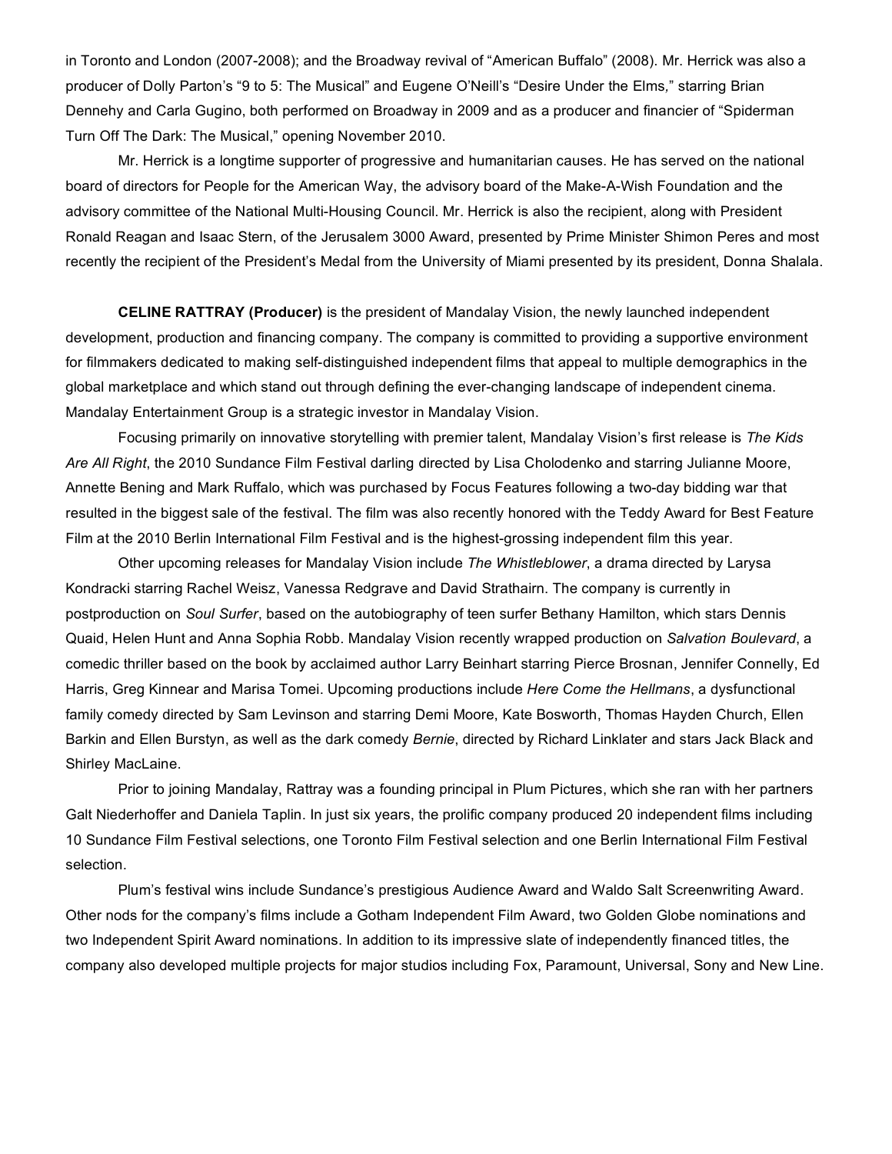in Toronto and London (2007-2008); and the Broadway revival of "American Buffalo" (2008). Mr. Herrick was also a producer of Dolly Parton's "9 to 5: The Musical" and Eugene O'Neill's "Desire Under the Elms*,*" starring Brian Dennehy and Carla Gugino, both performed on Broadway in 2009 and as a producer and financier of "Spiderman Turn Off The Dark: The Musical," opening November 2010.

Mr. Herrick is a longtime supporter of progressive and humanitarian causes. He has served on the national board of directors for People for the American Way, the advisory board of the Make-A-Wish Foundation and the advisory committee of the National Multi-Housing Council. Mr. Herrick is also the recipient, along with President Ronald Reagan and Isaac Stern, of the Jerusalem 3000 Award, presented by Prime Minister Shimon Peres and most recently the recipient of the President's Medal from the University of Miami presented by its president, Donna Shalala.

**CELINE RATTRAY (Producer)** is the president of Mandalay Vision, the newly launched independent development, production and financing company. The company is committed to providing a supportive environment for filmmakers dedicated to making self-distinguished independent films that appeal to multiple demographics in the global marketplace and which stand out through defining the ever-changing landscape of independent cinema. Mandalay Entertainment Group is a strategic investor in Mandalay Vision.

Focusing primarily on innovative storytelling with premier talent, Mandalay Vision's first release is *The Kids Are All Right*, the 2010 Sundance Film Festival darling directed by Lisa Cholodenko and starring Julianne Moore, Annette Bening and Mark Ruffalo, which was purchased by Focus Features following a two-day bidding war that resulted in the biggest sale of the festival. The film was also recently honored with the Teddy Award for Best Feature Film at the 2010 Berlin International Film Festival and is the highest-grossing independent film this year.

Other upcoming releases for Mandalay Vision include *The Whistleblower*, a drama directed by Larysa Kondracki starring Rachel Weisz, Vanessa Redgrave and David Strathairn. The company is currently in postproduction on *Soul Surfer*, based on the autobiography of teen surfer Bethany Hamilton, which stars Dennis Quaid, Helen Hunt and Anna Sophia Robb. Mandalay Vision recently wrapped production on *Salvation Boulevard*, a comedic thriller based on the book by acclaimed author Larry Beinhart starring Pierce Brosnan, Jennifer Connelly, Ed Harris, Greg Kinnear and Marisa Tomei. Upcoming productions include *Here Come the Hellmans*, a dysfunctional family comedy directed by Sam Levinson and starring Demi Moore, Kate Bosworth, Thomas Hayden Church, Ellen Barkin and Ellen Burstyn, as well as the dark comedy *Bernie*, directed by Richard Linklater and stars Jack Black and Shirley MacLaine.

Prior to joining Mandalay, Rattray was a founding principal in Plum Pictures, which she ran with her partners Galt Niederhoffer and Daniela Taplin. In just six years, the prolific company produced 20 independent films including 10 Sundance Film Festival selections, one Toronto Film Festival selection and one Berlin International Film Festival selection.

Plum's festival wins include Sundance's prestigious Audience Award and Waldo Salt Screenwriting Award. Other nods for the company's films include a Gotham Independent Film Award, two Golden Globe nominations and two Independent Spirit Award nominations. In addition to its impressive slate of independently financed titles, the company also developed multiple projects for major studios including Fox, Paramount, Universal, Sony and New Line.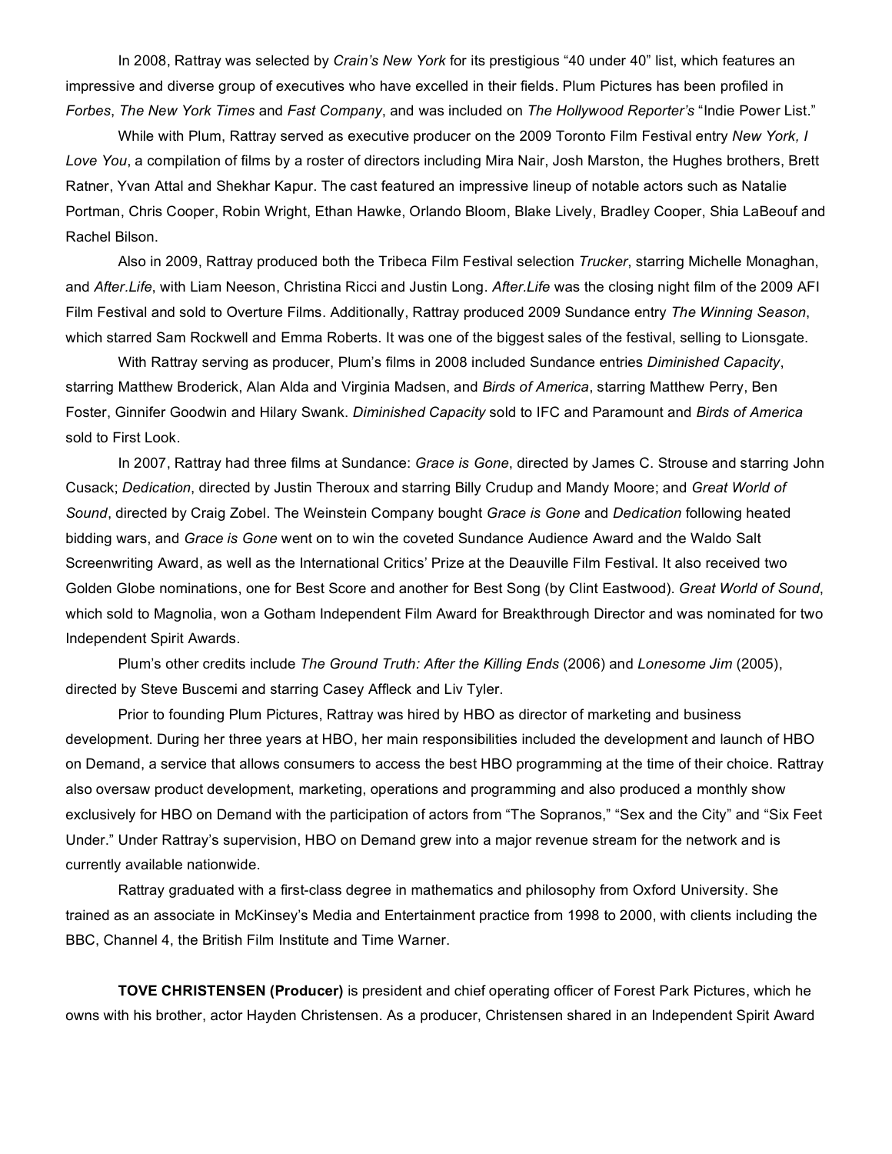In 2008, Rattray was selected by *Crain's New York* for its prestigious "40 under 40" list, which features an impressive and diverse group of executives who have excelled in their fields. Plum Pictures has been profiled in *Forbes*, *The New York Times* and *Fast Company*, and was included on *The Hollywood Reporter's* "Indie Power List."

While with Plum, Rattray served as executive producer on the 2009 Toronto Film Festival entry *New York, I Love You*, a compilation of films by a roster of directors including Mira Nair, Josh Marston, the Hughes brothers, Brett Ratner, Yvan Attal and Shekhar Kapur. The cast featured an impressive lineup of notable actors such as Natalie Portman, Chris Cooper, Robin Wright, Ethan Hawke, Orlando Bloom, Blake Lively, Bradley Cooper, Shia LaBeouf and Rachel Bilson.

Also in 2009, Rattray produced both the Tribeca Film Festival selection *Trucker*, starring Michelle Monaghan, and *After.Life*, with Liam Neeson, Christina Ricci and Justin Long. *After.Life* was the closing night film of the 2009 AFI Film Festival and sold to Overture Films. Additionally, Rattray produced 2009 Sundance entry *The Winning Season*, which starred Sam Rockwell and Emma Roberts. It was one of the biggest sales of the festival, selling to Lionsgate.

With Rattray serving as producer, Plum's films in 2008 included Sundance entries *Diminished Capacity*, starring Matthew Broderick, Alan Alda and Virginia Madsen, and *Birds of America*, starring Matthew Perry, Ben Foster, Ginnifer Goodwin and Hilary Swank. *Diminished Capacity* sold to IFC and Paramount and *Birds of America* sold to First Look.

In 2007, Rattray had three films at Sundance: *Grace is Gone*, directed by James C. Strouse and starring John Cusack; *Dedication*, directed by Justin Theroux and starring Billy Crudup and Mandy Moore; and *Great World of Sound*, directed by Craig Zobel. The Weinstein Company bought *Grace is Gone* and *Dedication* following heated bidding wars, and *Grace is Gone* went on to win the coveted Sundance Audience Award and the Waldo Salt Screenwriting Award, as well as the International Critics' Prize at the Deauville Film Festival. It also received two Golden Globe nominations, one for Best Score and another for Best Song (by Clint Eastwood). *Great World of Sound*, which sold to Magnolia, won a Gotham Independent Film Award for Breakthrough Director and was nominated for two Independent Spirit Awards.

Plum's other credits include *The Ground Truth: After the Killing Ends* (2006) and *Lonesome Jim* (2005), directed by Steve Buscemi and starring Casey Affleck and Liv Tyler.

Prior to founding Plum Pictures, Rattray was hired by HBO as director of marketing and business development. During her three years at HBO, her main responsibilities included the development and launch of HBO on Demand, a service that allows consumers to access the best HBO programming at the time of their choice. Rattray also oversaw product development, marketing, operations and programming and also produced a monthly show exclusively for HBO on Demand with the participation of actors from "The Sopranos," "Sex and the City" and "Six Feet Under." Under Rattray's supervision, HBO on Demand grew into a major revenue stream for the network and is currently available nationwide.

Rattray graduated with a first-class degree in mathematics and philosophy from Oxford University. She trained as an associate in McKinsey's Media and Entertainment practice from 1998 to 2000, with clients including the BBC, Channel 4, the British Film Institute and Time Warner.

**TOVE CHRISTENSEN (Producer)** is president and chief operating officer of Forest Park Pictures, which he owns with his brother, actor Hayden Christensen. As a producer, Christensen shared in an Independent Spirit Award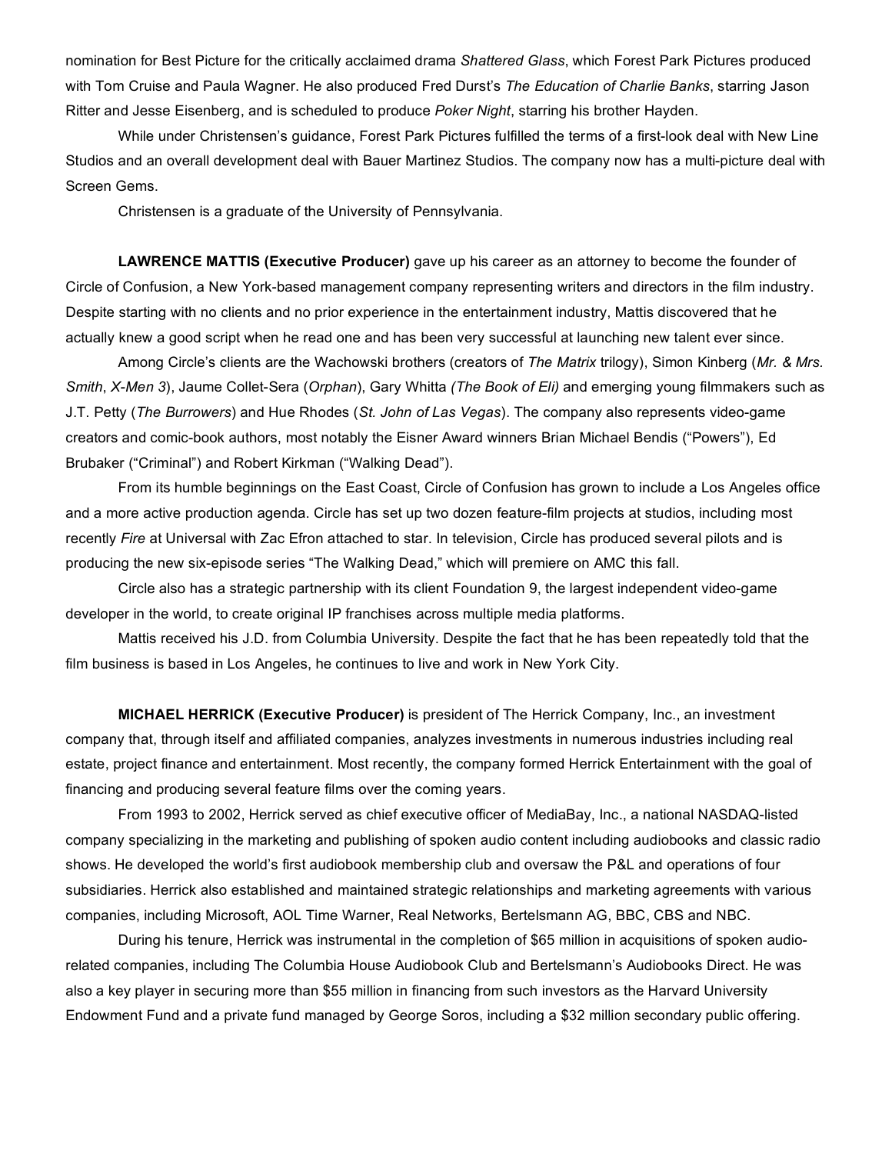nomination for Best Picture for the critically acclaimed drama *Shattered Glass*, which Forest Park Pictures produced with Tom Cruise and Paula Wagner. He also produced Fred Durst's *The Education of Charlie Banks*, starring Jason Ritter and Jesse Eisenberg, and is scheduled to produce *Poker Night*, starring his brother Hayden.

While under Christensen's guidance, Forest Park Pictures fulfilled the terms of a first-look deal with New Line Studios and an overall development deal with Bauer Martinez Studios. The company now has a multi-picture deal with Screen Gems.

Christensen is a graduate of the University of Pennsylvania.

**LAWRENCE MATTIS (Executive Producer)** gave up his career as an attorney to become the founder of Circle of Confusion, a New York-based management company representing writers and directors in the film industry. Despite starting with no clients and no prior experience in the entertainment industry, Mattis discovered that he actually knew a good script when he read one and has been very successful at launching new talent ever since.

Among Circle's clients are the Wachowski brothers (creators of *The Matrix* trilogy), Simon Kinberg (*Mr. & Mrs. Smith*, *X-Men 3*), Jaume Collet-Sera (*Orphan*), Gary Whitta *(The Book of Eli)* and emerging young filmmakers such as J.T. Petty (*The Burrowers*) and Hue Rhodes (*St. John of Las Vegas*). The company also represents video-game creators and comic-book authors, most notably the Eisner Award winners Brian Michael Bendis ("Powers"), Ed Brubaker ("Criminal") and Robert Kirkman ("Walking Dead").

From its humble beginnings on the East Coast, Circle of Confusion has grown to include a Los Angeles office and a more active production agenda. Circle has set up two dozen feature-film projects at studios, including most recently *Fire* at Universal with Zac Efron attached to star. In television, Circle has produced several pilots and is producing the new six-episode series "The Walking Dead," which will premiere on AMC this fall.

Circle also has a strategic partnership with its client Foundation 9, the largest independent video-game developer in the world, to create original IP franchises across multiple media platforms.

Mattis received his J.D. from Columbia University. Despite the fact that he has been repeatedly told that the film business is based in Los Angeles, he continues to live and work in New York City.

**MICHAEL HERRICK (Executive Producer)** is president of The Herrick Company, Inc., an investment company that, through itself and affiliated companies, analyzes investments in numerous industries including real estate, project finance and entertainment. Most recently, the company formed Herrick Entertainment with the goal of financing and producing several feature films over the coming years.

From 1993 to 2002, Herrick served as chief executive officer of MediaBay, Inc., a national NASDAQ-listed company specializing in the marketing and publishing of spoken audio content including audiobooks and classic radio shows. He developed the world's first audiobook membership club and oversaw the P&L and operations of four subsidiaries. Herrick also established and maintained strategic relationships and marketing agreements with various companies, including Microsoft, AOL Time Warner, Real Networks, Bertelsmann AG, BBC, CBS and NBC.

During his tenure, Herrick was instrumental in the completion of \$65 million in acquisitions of spoken audiorelated companies, including The Columbia House Audiobook Club and Bertelsmann's Audiobooks Direct. He was also a key player in securing more than \$55 million in financing from such investors as the Harvard University Endowment Fund and a private fund managed by George Soros, including a \$32 million secondary public offering.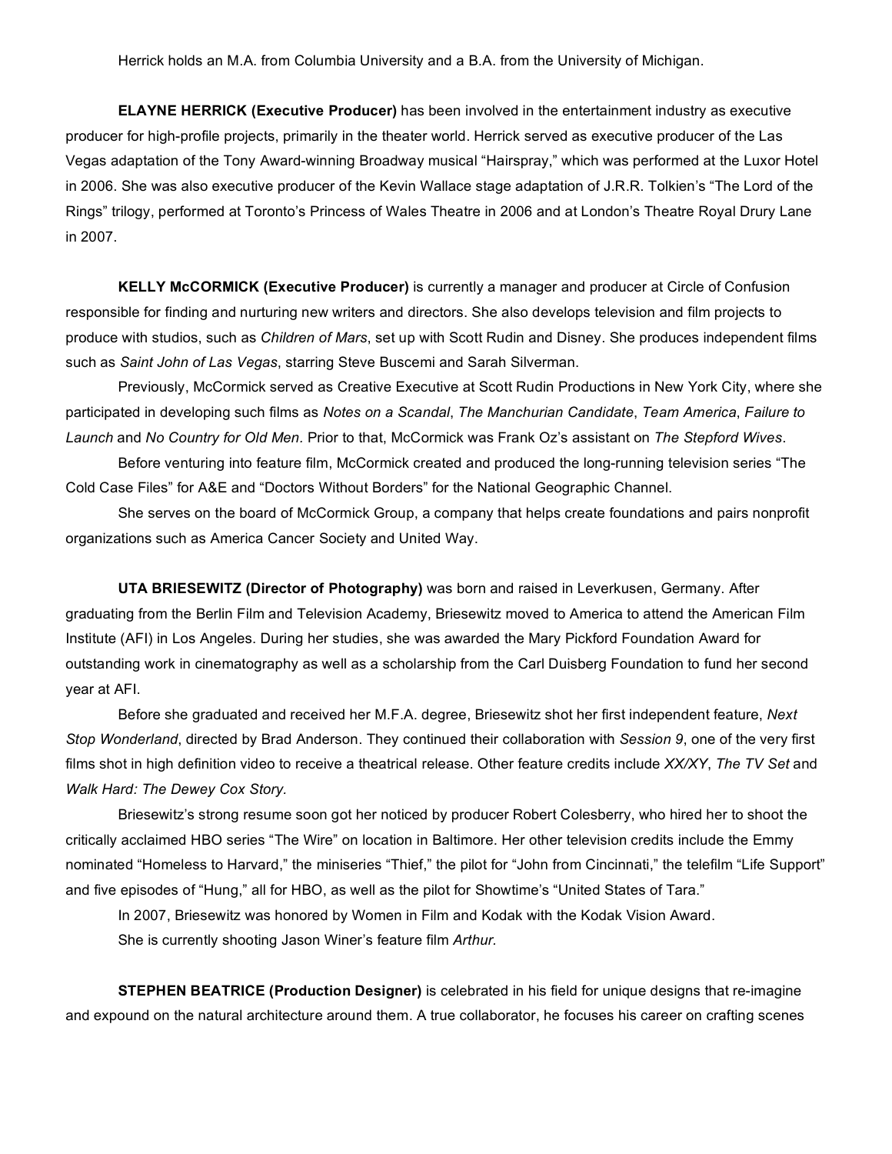**ELAYNE HERRICK (Executive Producer)** has been involved in the entertainment industry as executive producer for high-profile projects, primarily in the theater world. Herrick served as executive producer of the Las Vegas adaptation of the Tony Award-winning Broadway musical "Hairspray," which was performed at the Luxor Hotel in 2006. She was also executive producer of the Kevin Wallace stage adaptation of J.R.R. Tolkien's "The Lord of the Rings" trilogy, performed at Toronto's Princess of Wales Theatre in 2006 and at London's Theatre Royal Drury Lane in 2007.

**KELLY McCORMICK (Executive Producer)** is currently a manager and producer at Circle of Confusion responsible for finding and nurturing new writers and directors. She also develops television and film projects to produce with studios, such as *Children of Mars*, set up with Scott Rudin and Disney. She produces independent films such as *Saint John of Las Vegas*, starring Steve Buscemi and Sarah Silverman.

Previously, McCormick served as Creative Executive at Scott Rudin Productions in New York City, where she participated in developing such films as *Notes on a Scandal*, *The Manchurian Candidate*, *Team America*, *Failure to Launch* and *No Country for Old Men.* Prior to that, McCormick was Frank Oz's assistant on *The Stepford Wives*.

Before venturing into feature film, McCormick created and produced the long-running television series "The Cold Case Files" for A&E and "Doctors Without Borders" for the National Geographic Channel.

She serves on the board of McCormick Group, a company that helps create foundations and pairs nonprofit organizations such as America Cancer Society and United Way.

**UTA BRIESEWITZ (Director of Photography)** was born and raised in Leverkusen, Germany. After graduating from the Berlin Film and Television Academy, Briesewitz moved to America to attend the American Film Institute (AFI) in Los Angeles. During her studies, she was awarded the Mary Pickford Foundation Award for outstanding work in cinematography as well as a scholarship from the Carl Duisberg Foundation to fund her second year at AFI.

Before she graduated and received her M.F.A. degree, Briesewitz shot her first independent feature, *Next Stop Wonderland*, directed by Brad Anderson. They continued their collaboration with *Session 9*, one of the very first films shot in high definition video to receive a theatrical release. Other feature credits include *XX/XY*, *The TV Set* and *Walk Hard: The Dewey Cox Story.* 

Briesewitz's strong resume soon got her noticed by producer Robert Colesberry, who hired her to shoot the critically acclaimed HBO series "The Wire" on location in Baltimore. Her other television credits include the Emmy nominated "Homeless to Harvard," the miniseries "Thief," the pilot for "John from Cincinnati," the telefilm "Life Support" and five episodes of "Hung," all for HBO, as well as the pilot for Showtime's "United States of Tara."

In 2007, Briesewitz was honored by Women in Film and Kodak with the Kodak Vision Award. She is currently shooting Jason Winer's feature film *Arthur.*

**STEPHEN BEATRICE (Production Designer)** is celebrated in his field for unique designs that re-imagine and expound on the natural architecture around them. A true collaborator, he focuses his career on crafting scenes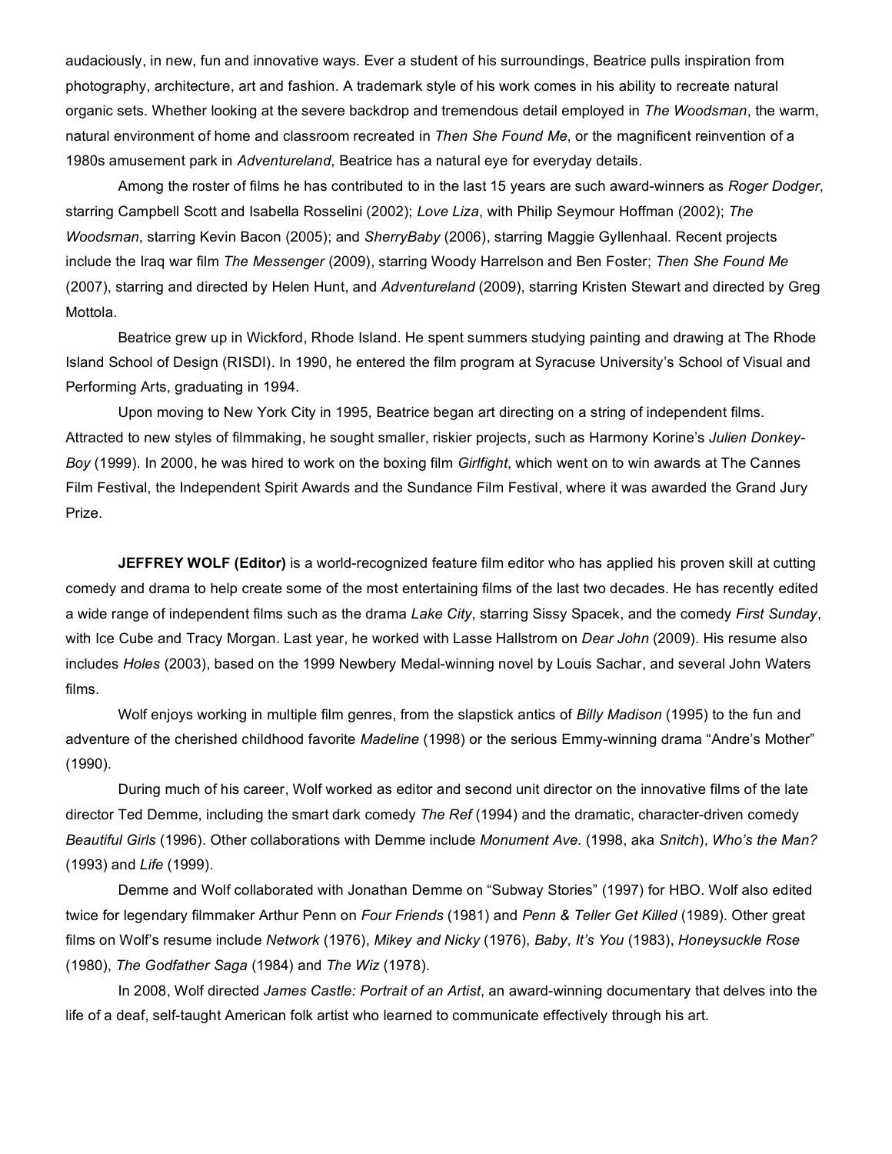audaciously, in new, fun and innovative ways. Ever a student of his surroundings, Beatrice pulls inspiration from photography, architecture, art and fashion. A trademark style of his work comes in his ability to recreate natural organic sets. Whether looking at the severe backdrop and tremendous detail employed in *The Woodsman*, the warm, natural environment of home and classroom recreated in *Then She Found Me*, or the magnificent reinvention of a 1980s amusement park in *Adventureland*, Beatrice has a natural eye for everyday details.

Among the roster of films he has contributed to in the last 15 years are such award-winners as *Roger Dodger*, starring Campbell Scott and Isabella Rosselini (2002); *Love Liza*, with Philip Seymour Hoffman (2002); *The Woodsman*, starring Kevin Bacon (2005); and *SherryBaby* (2006), starring Maggie Gyllenhaal. Recent projects include the Iraq war film *The Messenger* (2009), starring Woody Harrelson and Ben Foster; *Then She Found Me* (2007), starring and directed by Helen Hunt, and *Adventureland* (2009), starring Kristen Stewart and directed by Greg Mottola.

Beatrice grew up in Wickford, Rhode Island. He spent summers studying painting and drawing at The Rhode Island School of Design (RISDI). In 1990, he entered the film program at Syracuse University's School of Visual and Performing Arts, graduating in 1994.

Upon moving to New York City in 1995, Beatrice began art directing on a string of independent films. Attracted to new styles of filmmaking, he sought smaller, riskier projects, such as Harmony Korine's *Julien Donkey-Boy* (1999). In 2000, he was hired to work on the boxing film *Girlfight*, which went on to win awards at The Cannes Film Festival, the Independent Spirit Awards and the Sundance Film Festival, where it was awarded the Grand Jury Prize.

**JEFFREY WOLF (Editor)** is a world-recognized feature film editor who has applied his proven skill at cutting comedy and drama to help create some of the most entertaining films of the last two decades. He has recently edited a wide range of independent films such as the drama *Lake City*, starring Sissy Spacek, and the comedy *First Sunday*, with Ice Cube and Tracy Morgan. Last year, he worked with Lasse Hallstrom on *Dear John* (2009). His resume also includes *Holes* (2003), based on the 1999 Newbery Medal-winning novel by Louis Sachar, and several John Waters films.

Wolf enjoys working in multiple film genres, from the slapstick antics of *Billy Madison* (1995) to the fun and adventure of the cherished childhood favorite *Madeline* (1998) or the serious Emmy-winning drama "Andre's Mother" (1990).

During much of his career, Wolf worked as editor and second unit director on the innovative films of the late director Ted Demme, including the smart dark comedy *The Ref* (1994) and the dramatic, character-driven comedy *Beautiful Girls* (1996). Other collaborations with Demme include *Monument Ave.* (1998, aka *Snitch*), *Who's the Man?* (1993) and *Life* (1999).

Demme and Wolf collaborated with Jonathan Demme on "Subway Stories" (1997) for HBO. Wolf also edited twice for legendary filmmaker Arthur Penn on *Four Friends* (1981) and *Penn & Teller Get Killed* (1989). Other great films on Wolf's resume include *Network* (1976), *Mikey and Nicky* (1976), *Baby, It's You* (1983), *Honeysuckle Rose* (1980), *The Godfather Saga* (1984) and *The Wiz* (1978).

In 2008, Wolf directed *James Castle: Portrait of an Artist*, an award-winning documentary that delves into the life of a deaf, self-taught American folk artist who learned to communicate effectively through his art.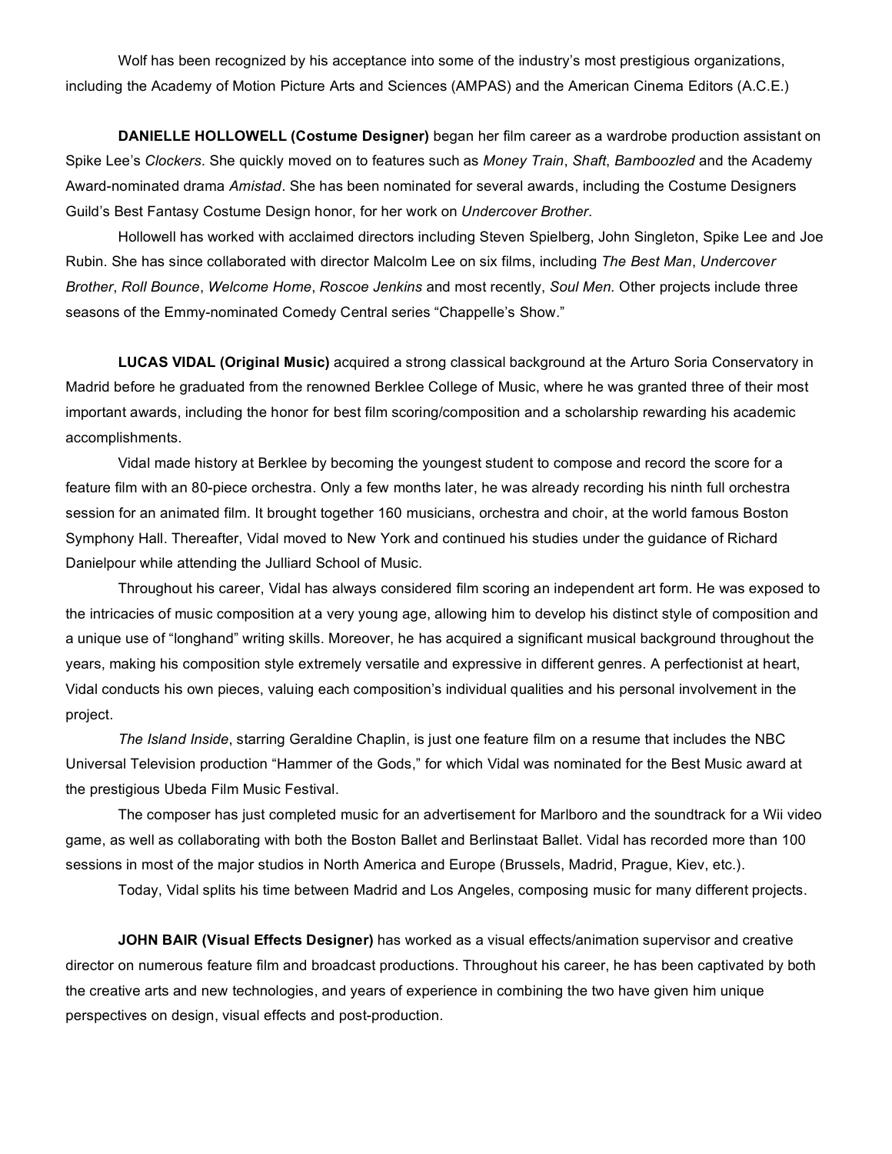Wolf has been recognized by his acceptance into some of the industry's most prestigious organizations, including the Academy of Motion Picture Arts and Sciences (AMPAS) and the American Cinema Editors (A.C.E.)

**DANIELLE HOLLOWELL (Costume Designer)** began her film career as a wardrobe production assistant on Spike Lee's *Clockers.* She quickly moved on to features such as *Money Train*, *Shaft*, *Bamboozled* and the Academy Award-nominated drama *Amistad*. She has been nominated for several awards, including the Costume Designers Guild's Best Fantasy Costume Design honor, for her work on *Undercover Brother*.

Hollowell has worked with acclaimed directors including Steven Spielberg, John Singleton, Spike Lee and Joe Rubin. She has since collaborated with director Malcolm Lee on six films, including *The Best Man*, *Undercover Brother*, *Roll Bounce*, *Welcome Home*, *Roscoe Jenkins* and most recently, *Soul Men.* Other projects include three seasons of the Emmy-nominated Comedy Central series "Chappelle's Show."

**LUCAS VIDAL (Original Music)** acquired a strong classical background at the Arturo Soria Conservatory in Madrid before he graduated from the renowned Berklee College of Music, where he was granted three of their most important awards, including the honor for best film scoring/composition and a scholarship rewarding his academic accomplishments.

Vidal made history at Berklee by becoming the youngest student to compose and record the score for a feature film with an 80-piece orchestra. Only a few months later, he was already recording his ninth full orchestra session for an animated film. It brought together 160 musicians, orchestra and choir, at the world famous Boston Symphony Hall. Thereafter, Vidal moved to New York and continued his studies under the guidance of Richard Danielpour while attending the Julliard School of Music.

Throughout his career, Vidal has always considered film scoring an independent art form. He was exposed to the intricacies of music composition at a very young age, allowing him to develop his distinct style of composition and a unique use of "longhand" writing skills. Moreover, he has acquired a significant musical background throughout the years, making his composition style extremely versatile and expressive in different genres. A perfectionist at heart, Vidal conducts his own pieces, valuing each composition's individual qualities and his personal involvement in the project.

*The Island Inside*, starring Geraldine Chaplin, is just one feature film on a resume that includes the NBC Universal Television production "Hammer of the Gods," for which Vidal was nominated for the Best Music award at the prestigious Ubeda Film Music Festival.

The composer has just completed music for an advertisement for Marlboro and the soundtrack for a Wii video game, as well as collaborating with both the Boston Ballet and Berlinstaat Ballet. Vidal has recorded more than 100 sessions in most of the major studios in North America and Europe (Brussels, Madrid, Prague, Kiev, etc.).

Today, Vidal splits his time between Madrid and Los Angeles, composing music for many different projects.

**JOHN BAIR (Visual Effects Designer)** has worked as a visual effects/animation supervisor and creative director on numerous feature film and broadcast productions. Throughout his career, he has been captivated by both the creative arts and new technologies, and years of experience in combining the two have given him unique perspectives on design, visual effects and post-production.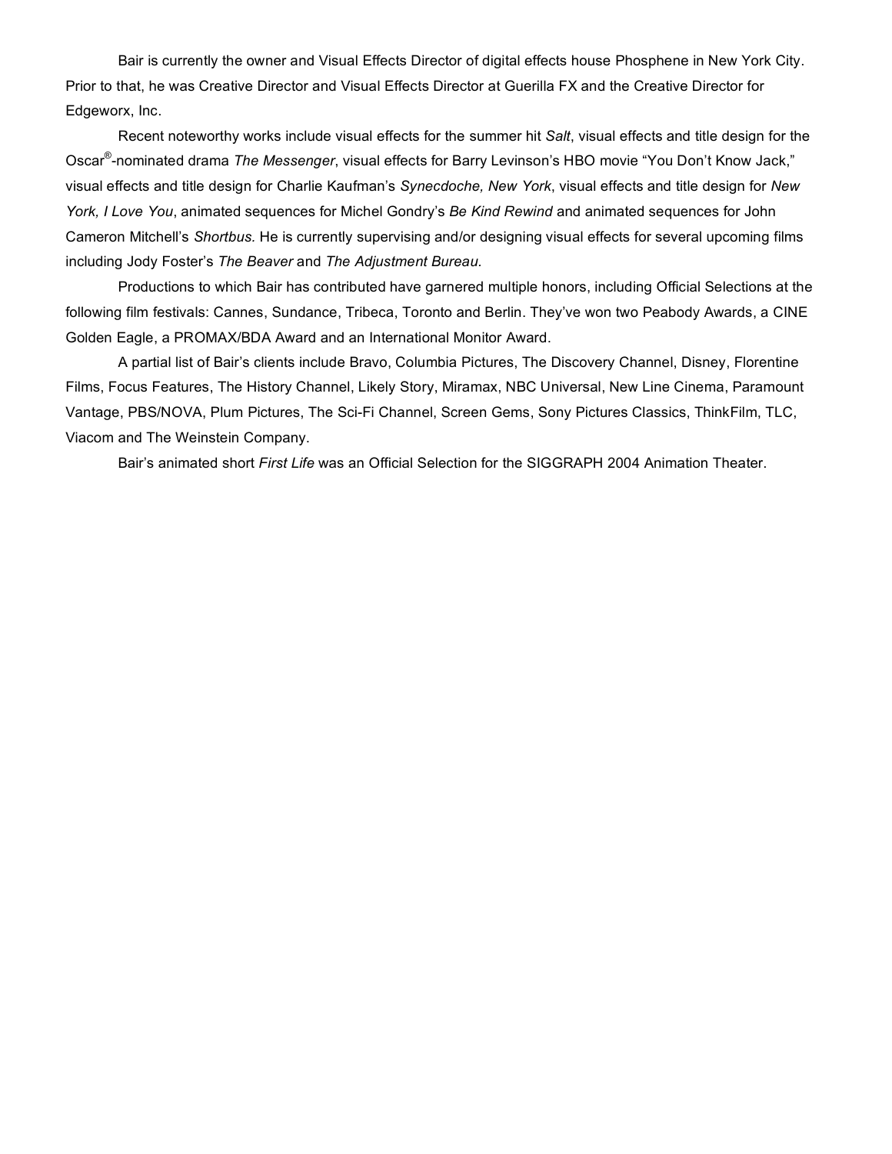Bair is currently the owner and Visual Effects Director of digital effects house Phosphene in New York City. Prior to that, he was Creative Director and Visual Effects Director at Guerilla FX and the Creative Director for Edgeworx, Inc.

Recent noteworthy works include visual effects for the summer hit *Salt*, visual effects and title design for the Oscar® -nominated drama *The Messenger*, visual effects for Barry Levinson's HBO movie "You Don't Know Jack," visual effects and title design for Charlie Kaufman's *Synecdoche, New York*, visual effects and title design for *New York, I Love You*, animated sequences for Michel Gondry's *Be Kind Rewind* and animated sequences for John Cameron Mitchell's *Shortbus.* He is currently supervising and/or designing visual effects for several upcoming films including Jody Foster's *The Beaver* and *The Adjustment Bureau.*

Productions to which Bair has contributed have garnered multiple honors, including Official Selections at the following film festivals: Cannes, Sundance, Tribeca, Toronto and Berlin. They've won two Peabody Awards, a CINE Golden Eagle, a PROMAX/BDA Award and an International Monitor Award.

A partial list of Bair's clients include Bravo, Columbia Pictures, The Discovery Channel, Disney, Florentine Films, Focus Features, The History Channel, Likely Story, Miramax, NBC Universal, New Line Cinema, Paramount Vantage, PBS/NOVA, Plum Pictures, The Sci-Fi Channel, Screen Gems, Sony Pictures Classics, ThinkFilm, TLC, Viacom and The Weinstein Company.

Bair's animated short *First Life* was an Official Selection for the SIGGRAPH 2004 Animation Theater.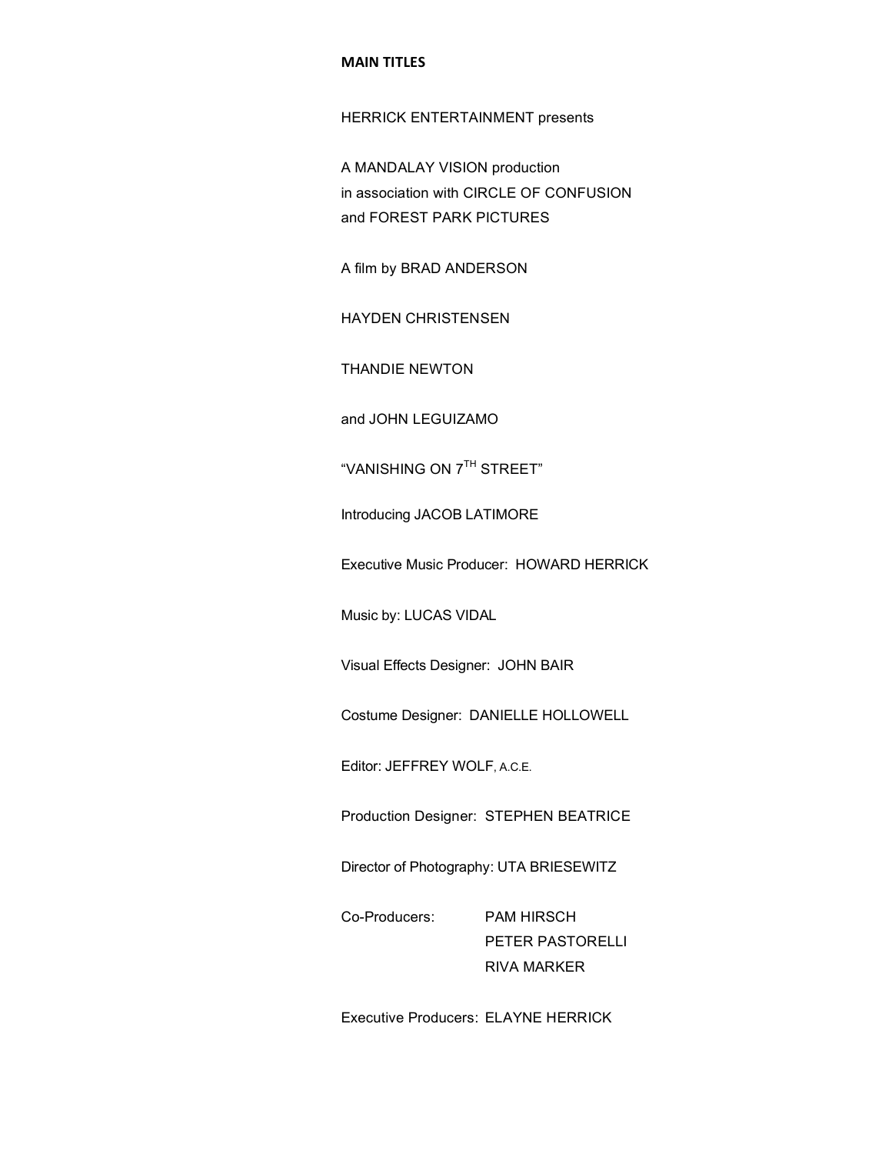#### **MAIN!TITLES**

HERRICK ENTERTAINMENT presents

A MANDALAY VISION production in association with CIRCLE OF CONFUSION and FOREST PARK PICTURES

A film by BRAD ANDERSON

HAYDEN CHRISTENSEN

THANDIE NEWTON

and JOHN LEGUIZAMO

"VANISHING ON 7TH STREET"

Introducing JACOB LATIMORE

Executive Music Producer: HOWARD HERRICK

Music by: LUCAS VIDAL

Visual Effects Designer: JOHN BAIR

Costume Designer: DANIELLE HOLLOWELL

Editor: JEFFREY WOLF, A.C.E.

Production Designer: STEPHEN BEATRICE

Director of Photography: UTA BRIESEWITZ

Co-Producers: PAM HIRSCH PETER PASTORELLI RIVA MARKER

Executive Producers: ELAYNE HERRICK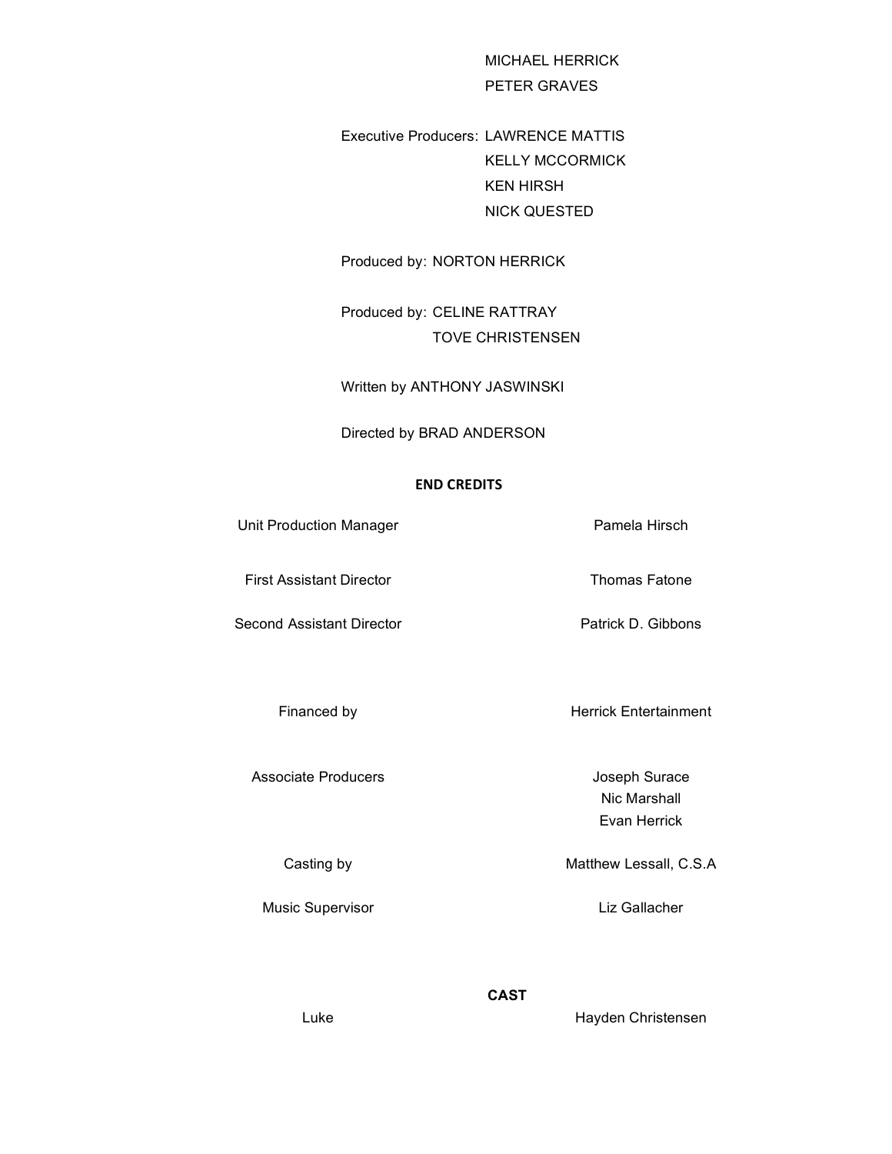MICHAEL HERRICK PETER GRAVES

Executive Producers: LAWRENCE MATTIS KELLY MCCORMICK KEN HIRSH NICK QUESTED

Produced by: NORTON HERRICK

Produced by: CELINE RATTRAY TOVE CHRISTENSEN

Written by ANTHONY JASWINSKI

Directed by BRAD ANDERSON

#### **END!CREDITS**

Unit Production Manager **Pamela Hirsch** First Assistant Director Thomas Fatone Second Assistant Director **Patrick D. Gibbons** Financed by **Herrick Entertainment** 

Associate Producers **Associate** Producers **Joseph Surace** 

Music Supervisor **Liz Gallacher** 

Nic Marshall Evan Herrick

Casting by **Matthew Lessall**, C.S.A

**CAST**

Luke **Hayden Christensen**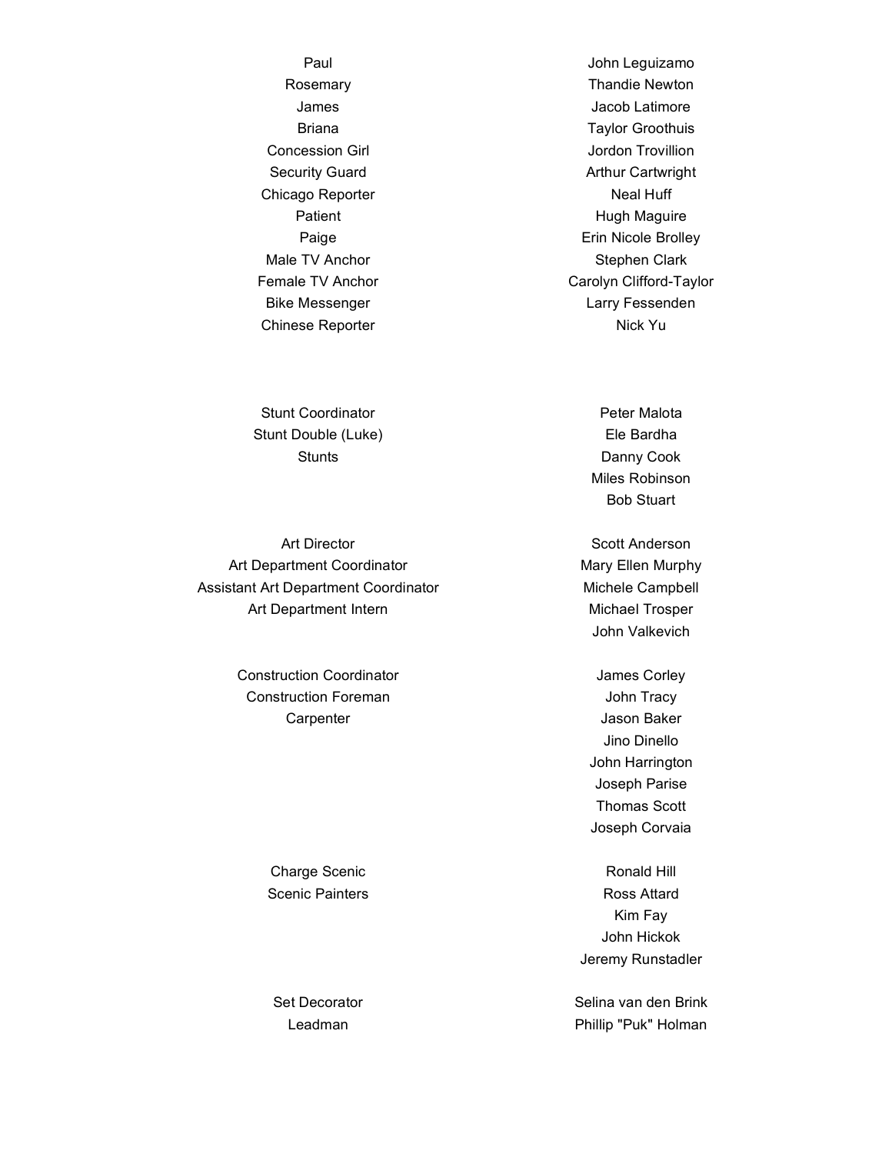Chicago Reporter Neal Huff

Stunt Coordinator **Peter Malota** Stunt Double (Luke) **Ele Bardha** 

Art Director **Scott Anderson** Art Department Coordinator Mary Ellen Murphy Assistant Art Department Coordinator **Michele Campbell** Art Department Intern Michael Trosper

Construction Coordinator **Construction** Coordinator Construction Foreman and Tracy John Tracy Carpenter **Carpenter** Jason Baker

Charge Scenic **Ronald Hill** 

Paul **Paul Access Contract Contract Contract Contract Contract Contract Contract Contract Contract Contract Contract Contract Contract Contract Contract Contract Contract Contract Contract Contract Contract Contract Contra** Rosemary **Thandie Newton** James Jacob Latimore Briana **Taylor Groothuis Concession Girl Concession Girl Concession Girl Concession Girl Concession Concession Concession Concession Co** Security Guard **Arthur Cartwright** Patient **Hugh Maguire** Paige **Example 2018** Erin Nicole Brolley Male TV Anchor Stephen Clark Female TV Anchor Carolyn Clifford-Taylor Bike Messenger and Europe and Larry Fessenden Chinese Reporter Nick Yu

Stunts **Danny Cook** Miles Robinson Bob Stuart

John Valkevich

Jino Dinello John Harrington Joseph Parise Thomas Scott Joseph Corvaia

Scenic Painters **Ross** Attard Kim Fay John Hickok Jeremy Runstadler

Set Decorator Selina van den Brink Leadman **Phillip "Puk" Holman**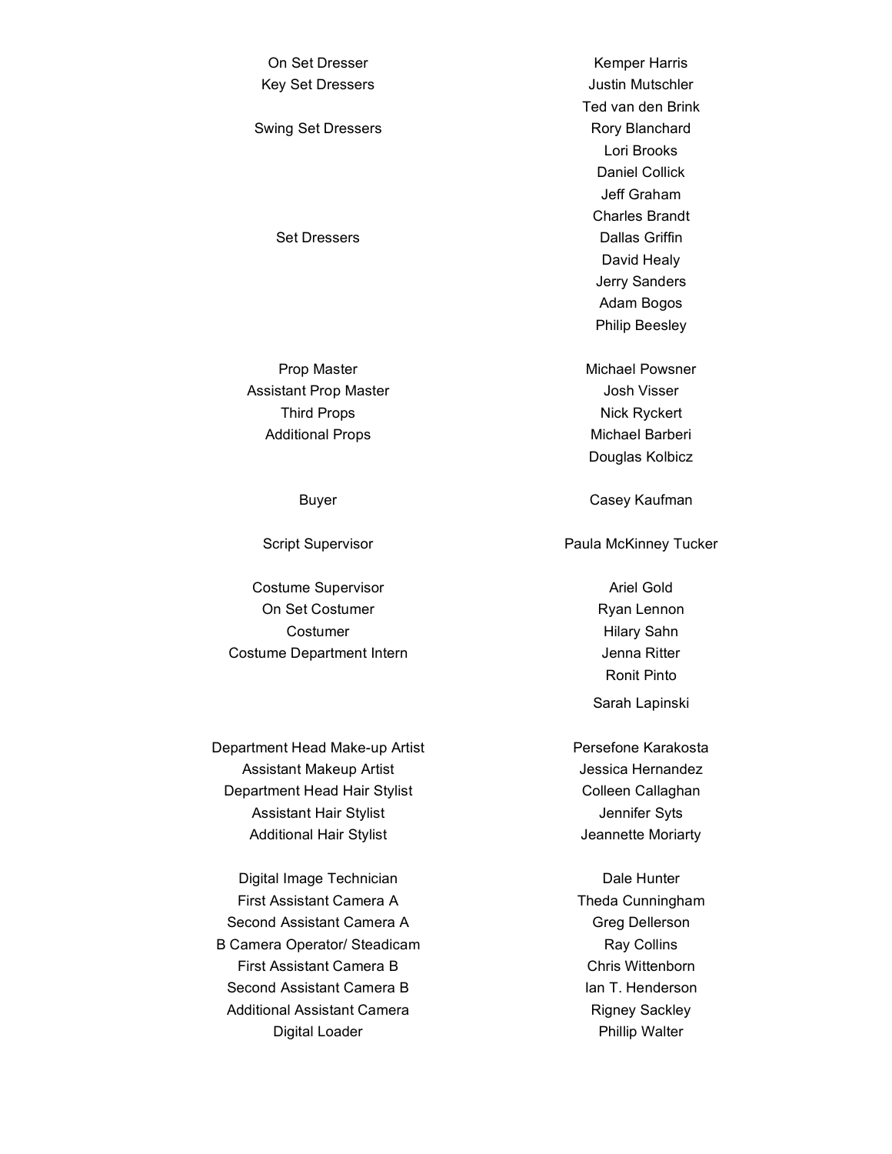On Set Dresser **Kemper Harris** Key Set Dressers **Access** Access 10 and the United States of the United States 10 and 10 and 10 and 10 and 10 and 10 and 10 and 10 and 10 and 10 and 10 and 10 and 10 and 10 and 10 and 10 and 10 and 10 and 10 and 10 and 10 Swing Set Dressers **Rory Blanchard** Set Dressers **Dallas Griffin** 

Assistant Prop Master **Assistant Prop Master** Assistant Prop Master Third Props Nick Ryckert Additional Props Michael Barberi

Costume Supervisor **Ariel Gold** On Set Costumer **Ryan Lennon** Costumer **Hilary Sahn** Costume Department Intern **Costume Department Intern** 

Department Head Make-up Artist **Persefone Karakosta** Assistant Makeup Artist **Artist Artist** Jessica Hernandez Department Head Hair Stylist Colleen Callaghan Assistant Hair Stylist **Assistant Hair Stylist** Jennifer Syts Additional Hair Stylist **Additional Hair Stylist** Jeannette Moriarty

Digital Image Technician Digital Image Technician First Assistant Camera A Theda Cunningham Second Assistant Camera A Greg Dellerson B Camera Operator/ Steadicam Ray Collins First Assistant Camera B Chris Wittenborn Second Assistant Camera B Ian T. Henderson Additional Assistant Camera **Rigney Sackley** Digital Loader **Phillip Walter** Phillip Walter

Ted van den Brink Lori Brooks Daniel Collick Jeff Graham Charles Brandt David Healy Jerry Sanders Adam Bogos Philip Beesley

Prop Master Michael Powsner Douglas Kolbicz

Buyer **Casey Kaufman** 

Script Supervisor **Paula McKinney Tucker** 

Ronit Pinto Sarah Lapinski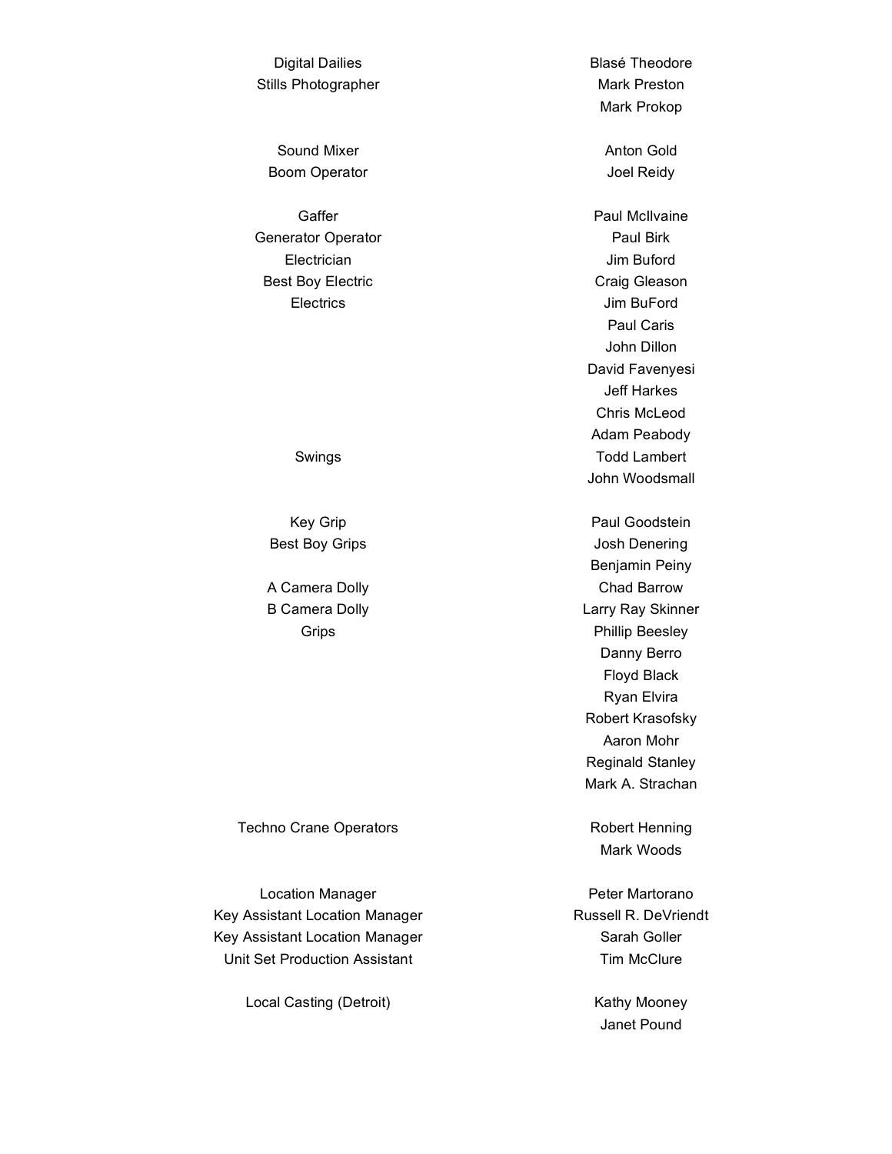Digital Dailies **Blase Theodore** Stills Photographer Mark Preston

Sound Mixer **Anton Gold** Boom Operator and The United States and Joel Reidy

Generator Operator **Paul Birk** Electrician Jim Buford Best Boy Electric **Craig Gleason** 

Techno Crane Operators **Robert Henning** 

Location Manager **Peter Martorano** Key Assistant Location Manager Russell R. DeVriendt Key Assistant Location Manager Sarah Goller Unit Set Production Assistant Tim McClure

Local Casting (Detroit) **Kathy Mooney** 

Mark Prokop

Gaffer **Caffer Caffer Caffer Caffer Caffer Caffer Paul McIIvaine** Electrics Jim BuFord Paul Caris John Dillon David Favenyesi Jeff Harkes Chris McLeod Adam Peabody Swings **Todd Lambert** John Woodsmall

Key Grip **Paul Goodstein** Best Boy Grips **Grips Contains Table 10** Josh Denering Benjamin Peiny A Camera Dolly **Chad Barrow** Chad Barrow B Camera Dolly **Larry Ray Skinner** Grips **Calculation Community** Phillip Beesley Danny Berro Floyd Black Ryan Elvira Robert Krasofsky Aaron Mohr Reginald Stanley Mark A. Strachan

Mark Woods

Janet Pound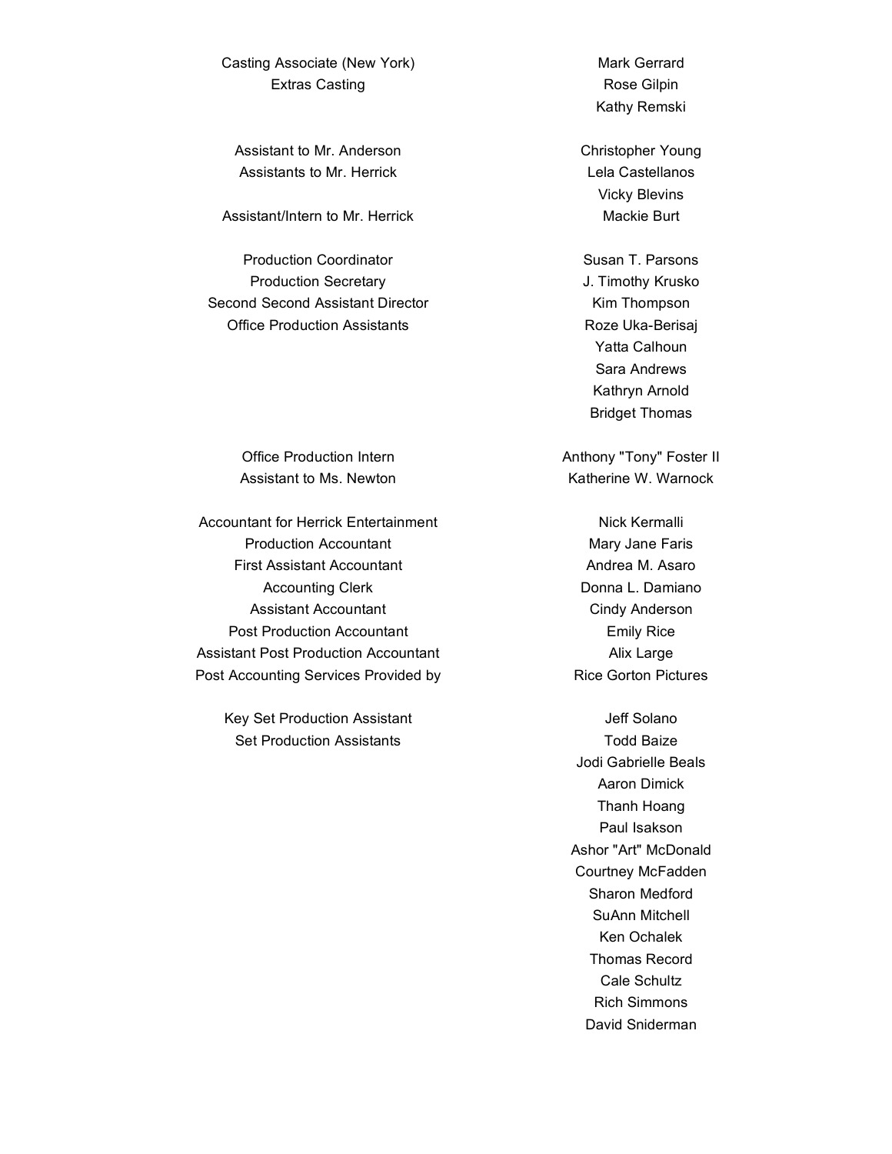Casting Associate (New York) Mark Gerrard Extras Casting **Rose Gilpin** Rose Gilpin

Assistant to Mr. Anderson Christopher Young Assistants to Mr. Herrick Lela Castellanos

Assistant/Intern to Mr. Herrick Mackie Burt

Production Coordinator **Susan T. Parsons** Susan T. Parsons Production Secretary **Mateurs** J. Timothy Krusko Second Second Assistant Director **Kim Thompson** Office Production Assistants **Roze Uka-Berisaj** 

Office Production Intern Anthony "Tony" Foster II

Accountant for Herrick Entertainment Nick Kermalli Production Accountant Mary Jane Faris First Assistant Accountant **Andrea M. Asaro** Accounting Clerk **Donna L. Damiano** Assistant Accountant Cindy Anderson Post Production Accountant **Emily Rice** Emily Rice Assistant Post Production Accountant **Accountant** Alix Large Post Accounting Services Provided by Rice Gorton Pictures

Key Set Production Assistant Version Control of Solano Set Production Assistants Todd Baize

Kathy Remski

Vicky Blevins

Yatta Calhoun Sara Andrews Kathryn Arnold Bridget Thomas

Assistant to Ms. Newton The Control of The Katherine W. Warnock

Jodi Gabrielle Beals Aaron Dimick Thanh Hoang Paul Isakson Ashor "Art" McDonald Courtney McFadden Sharon Medford SuAnn Mitchell Ken Ochalek Thomas Record Cale Schultz Rich Simmons David Sniderman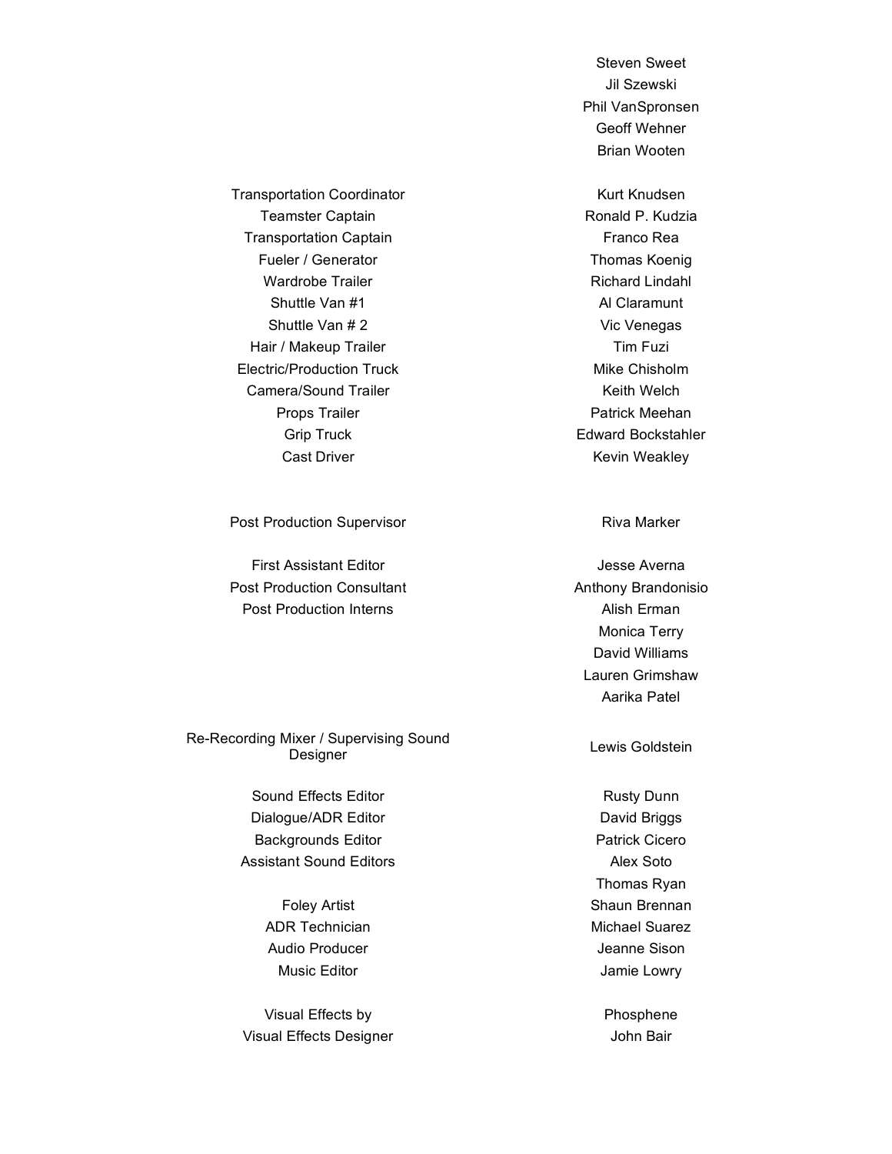Steven Sweet Jil Szewski Phil VanSpronsen Geoff Wehner Brian Wooten

Transportation Coordinator **Kurt Knudsen** Kurt Knudsen Teamster Captain **Ronald P. Kudzia** Transportation Captain Franco Rea Fueler / Generator Thomas Koenig Wardrobe Trailer **Richard Lindahl** Shuttle Van #1 Al Claramunt Shuttle Van # 2 Vic Venegas Hair / Makeup Trailer Tim Fuzi Electric/Production Truck Mike Chisholm Camera/Sound Trailer **Keith Welch** Keith Welch Props Trailer **Props** Trailer **Patrick** Meehan Grip Truck **Edward Bockstahler** Cast Driver **Keyser Cast Driver Keyser Cast Driver Keyser Cast Driver Keyser Keyser** 

Post Production Supervisor **Riva Marker** Riva Marker

First Assistant Editor **Access Averna** Jesse Averna Post Production Consultant **Anthony Brandonisio** Post Production Interns **Alish Erman** 

Re-Recording Mixer / Supervising Sound nixer / Supervising Sound<br>Designer Lewis Goldstein

> Sound Effects Editor **Rusty Dunn** Rusty Dunn Dialogue/ADR Editor **Dialogue/ADR Editor David Briggs** Backgrounds Editor **Patrick Cicero** Patrick Cicero Assistant Sound Editors **Alex Soto** Alex Soto

ADR Technician Michael Suarez Audio Producer and The Sison and Team and Jeanne Sison

Visual Effects by Phosphene Visual Effects Designer Visual Effects Designer

Monica Terry David Williams Lauren Grimshaw Aarika Patel

Thomas Ryan Foley Artist **Shaun Brennan** Music Editor **Music Editor Jamie Lowry**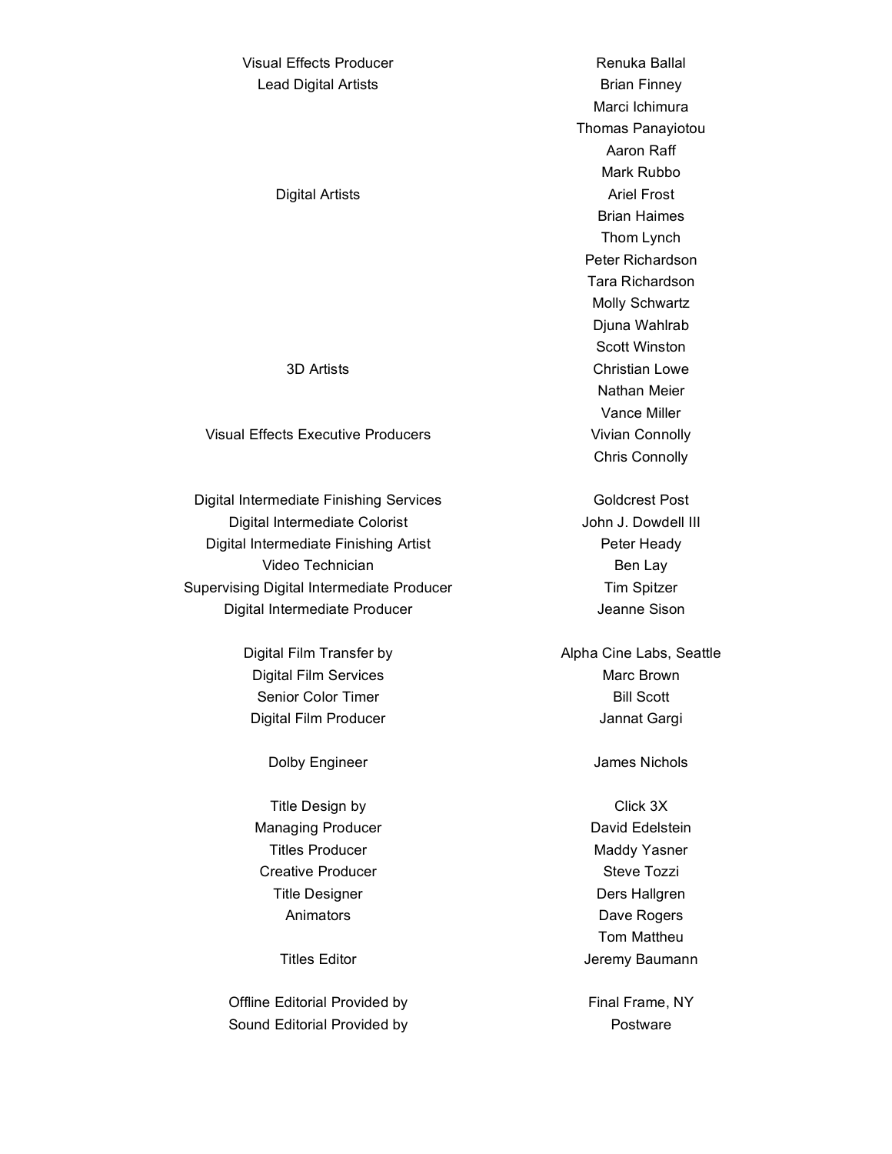# Visual Effects Producer **Renuka Ballal** Lead Digital Artists **Brian Finney** Digital Artists **Ariel Frost Ariel Frost** 3D Artists Christian Lowe Visual Effects Executive Producers Visual Effects Executive Producers

Digital Intermediate Finishing Services Goldcrest Post Digital Intermediate Colorist **Manufather Colorist** John J. Dowdell III Digital Intermediate Finishing Artist **Peter Heady** Peter Heady Video Technician and Ben Lay Supervising Digital Intermediate Producer Tim Spitzer Digital Intermediate Producer and Theorem and Sison

> Digital Film Services **Marc Brown** Marc Brown Senior Color Timer Bill Scott Digital Film Producer **Vancoult Carging Contract Carging Carging Carging Contract Carging Contract Carging Contract Carging Contract Carging Contract Carging Contract Contract Contract Contract Contract Contract Contract C**

Dolby Engineer James Nichols

Title Design by Click 3X Managing Producer **David Edelstein** Titles Producer **Maddy Yasner** Maddy Yasner Creative Producer **Steve Tozzi** Title Designer National School and Ders Hallgren Animators **Dave Rogers** 

Offline Editorial Provided by Final Frame, NY Sound Editorial Provided by Postware

Marci Ichimura Thomas Panayiotou Aaron Raff Mark Rubbo Brian Haimes Thom Lynch Peter Richardson Tara Richardson Molly Schwartz Djuna Wahlrab Scott Winston Nathan Meier Vance Miller Chris Connolly

Digital Film Transfer by Alpha Cine Labs, Seattle

Tom Mattheu Titles Editor **Jeremy Baumann**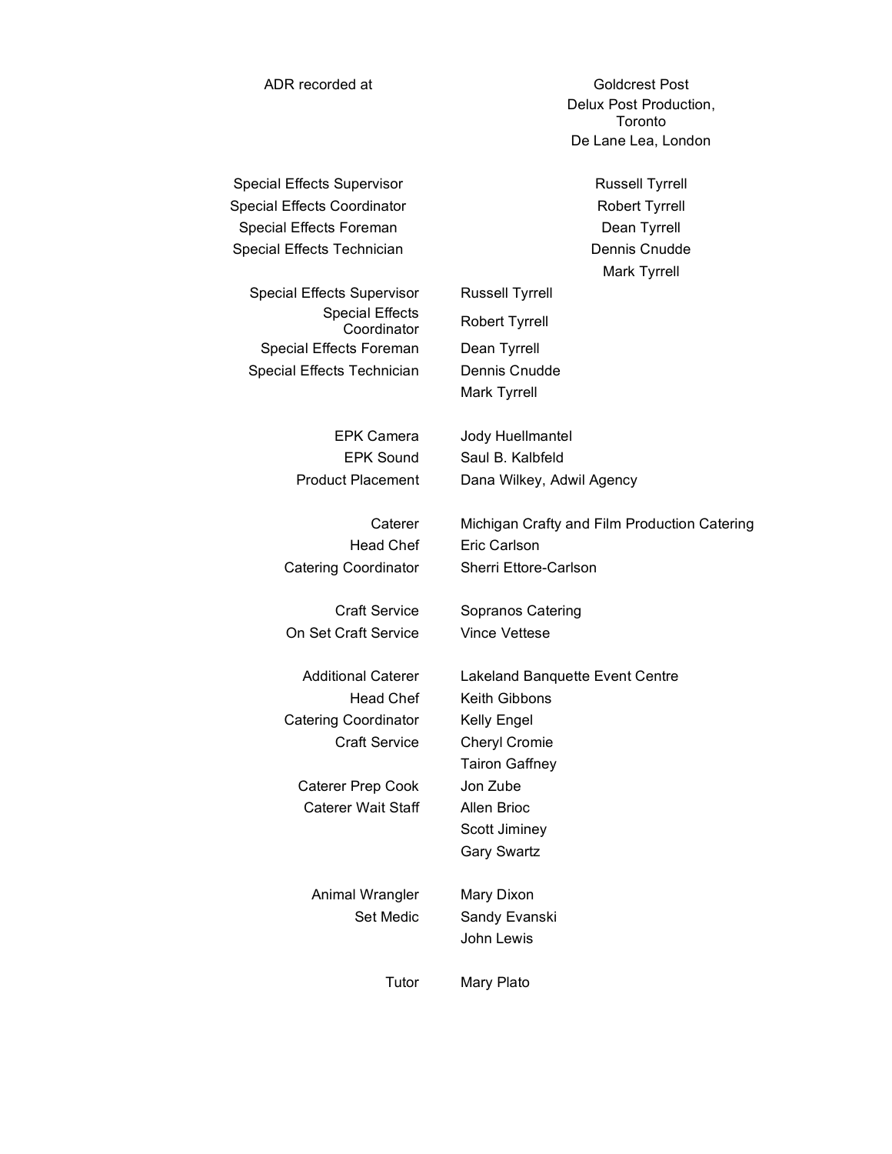ADR recorded at Goldcrest Post Delux Post Production, Toronto De Lane Lea, London

Special Effects Supervisor **Russell Tyrrell** Special Effects Coordinator **Robert Tyrrell** Special Effects Foreman Dean Tyrrell Special Effects Technician Dennis Cnudde

Mark Tyrrell

Special Effects Supervisor Russell Tyrrell Special Effects Special Effects Foreman Dean Tyrrell Special Effects Technician Dennis Cnudde

On Set Craft Service Vince Vettese

Catering Coordinator Kelly Engel

Caterer Prep Cook Jon Zube Caterer Wait Staff Allen Brioc

Animal Wrangler Mary Dixon

Coordinator Robert Tyrrell Mark Tyrrell

EPK Camera Jody Huellmantel EPK Sound Saul B. Kalbfeld Product Placement Dana Wilkey, Adwil Agency

Caterer Michigan Crafty and Film Production Catering Head Chef Eric Carlson Catering Coordinator Sherri Ettore-Carlson

Craft Service Sopranos Catering

Additional Caterer Lakeland Banquette Event Centre Head Chef Keith Gibbons Craft Service Cheryl Cromie Tairon Gaffney Scott Jiminey Gary Swartz

> Set Medic Sandy Evanski John Lewis

Tutor Mary Plato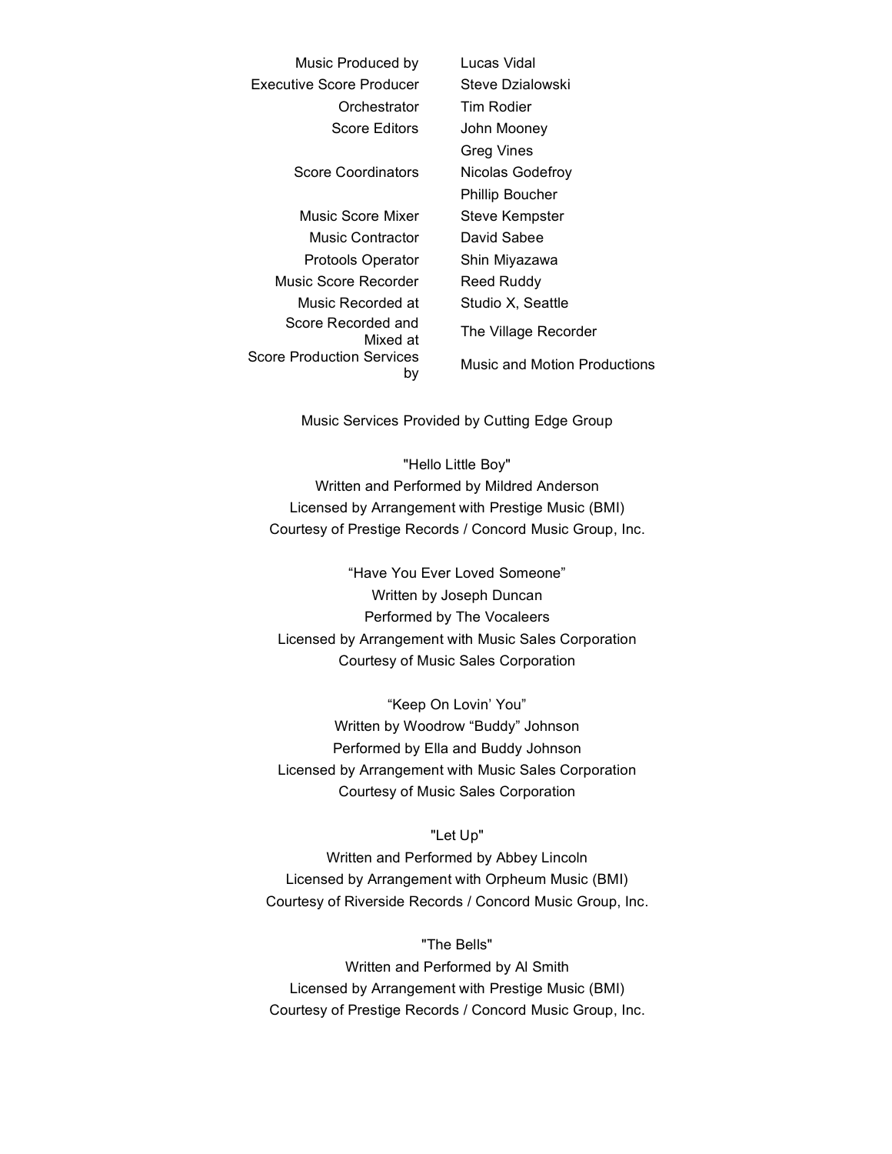| Music Produced by               | Lucas Vidal                  |
|---------------------------------|------------------------------|
| <b>Executive Score Producer</b> | Steve Dzialowski             |
| Orchestrator                    | Tim Rodier                   |
| Score Editors                   | John Mooney                  |
|                                 | Greg Vines                   |
| Score Coordinators              | Nicolas Godefroy             |
|                                 | <b>Phillip Boucher</b>       |
| Music Score Mixer               | Steve Kempster               |
| Music Contractor                | David Sabee                  |
| <b>Protools Operator</b>        | Shin Miyazawa                |
| Music Score Recorder            | Reed Ruddy                   |
| Music Recorded at               | Studio X, Seattle            |
| Score Recorded and<br>Mixed at  | The Village Recorder         |
| Score Production Services<br>bγ | Music and Motion Productions |

Music Services Provided by Cutting Edge Group

"Hello Little Boy" Written and Performed by Mildred Anderson Licensed by Arrangement with Prestige Music (BMI) Courtesy of Prestige Records / Concord Music Group, Inc.

"Have You Ever Loved Someone" Written by Joseph Duncan Performed by The Vocaleers Licensed by Arrangement with Music Sales Corporation Courtesy of Music Sales Corporation

"Keep On Lovin' You" Written by Woodrow "Buddy" Johnson Performed by Ella and Buddy Johnson Licensed by Arrangement with Music Sales Corporation Courtesy of Music Sales Corporation

#### "Let Up"

Written and Performed by Abbey Lincoln Licensed by Arrangement with Orpheum Music (BMI) Courtesy of Riverside Records / Concord Music Group, Inc.

#### "The Bells"

Written and Performed by Al Smith Licensed by Arrangement with Prestige Music (BMI) Courtesy of Prestige Records / Concord Music Group, Inc.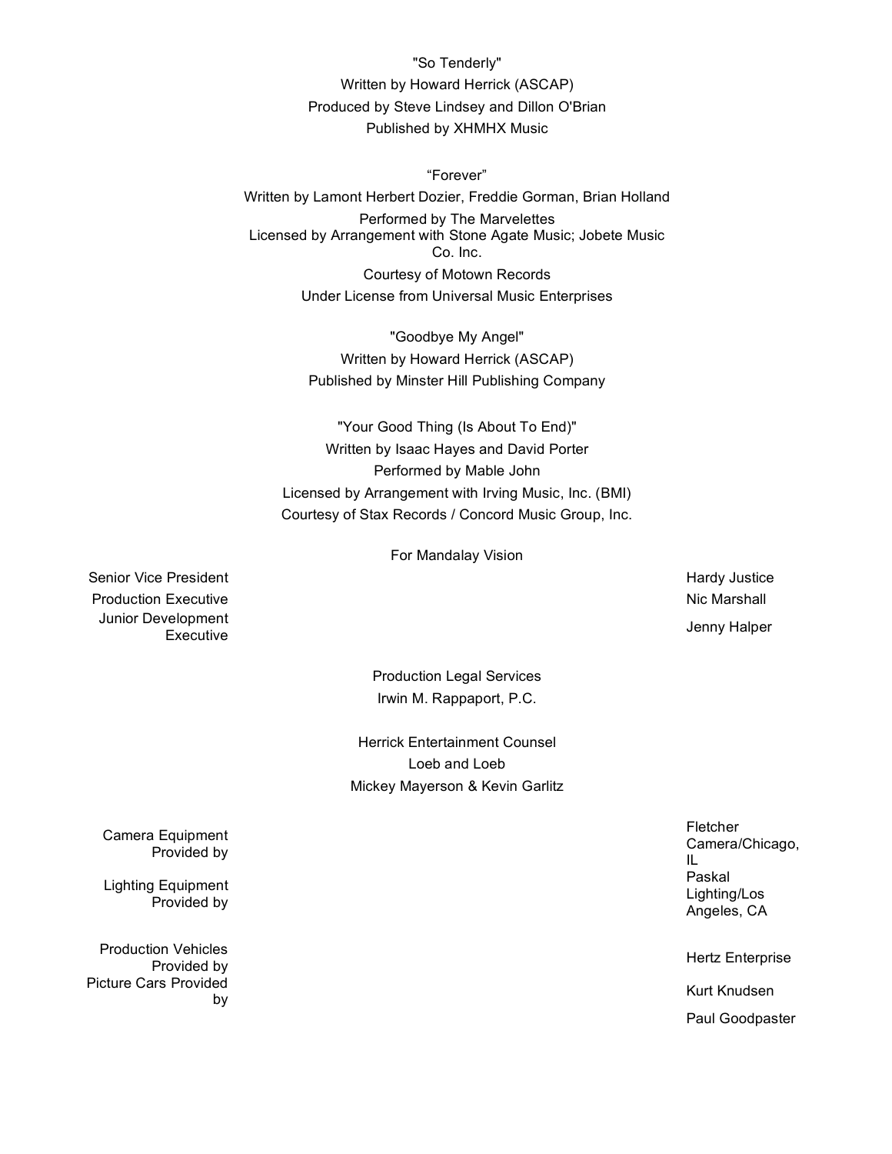"So Tenderly" Written by Howard Herrick (ASCAP) Produced by Steve Lindsey and Dillon O'Brian Published by XHMHX Music

"Forever" Written by Lamont Herbert Dozier, Freddie Gorman, Brian Holland Performed by The Marvelettes Licensed by Arrangement with Stone Agate Music; Jobete Music Co. Inc. Courtesy of Motown Records Under License from Universal Music Enterprises

> "Goodbye My Angel" Written by Howard Herrick (ASCAP) Published by Minster Hill Publishing Company

"Your Good Thing (Is About To End)" Written by Isaac Hayes and David Porter Performed by Mable John Licensed by Arrangement with Irving Music, Inc. (BMI) Courtesy of Stax Records / Concord Music Group, Inc.

For Mandalay Vision

Senior Vice President National According to the Senior Vice President According to the March 1990 Senior March 1990 Senior According to the March 1990 Senior March 1990 Senior March 1990 Senior March 1990 Senior March 1990 Production Executive **Nic Marshall** 2012 12:30 Nic Marshall 2013 12:30 Nic Marshall Junior Development elopment<br>Executive Jenny Halper

Production Legal Services Irwin M. Rappaport, P.C.

Herrick Entertainment Counsel Loeb and Loeb Mickey Mayerson & Kevin Garlitz

> Fletcher Camera/Chicago, IL Paskal Lighting/Los Angeles, CA

by the control of the control of the control of the control of the control of the control of the control of th<br>By the control of the control of the control of the control of the control of the control of the control of th

Paul Goodpaster

Camera Equipment Provided by

Lighting Equipment Provided by

Production Vehicles on venicies<br>Provided by New York (1999) and the contract of the contract of the Hertz Enterprise Picture Cars Provided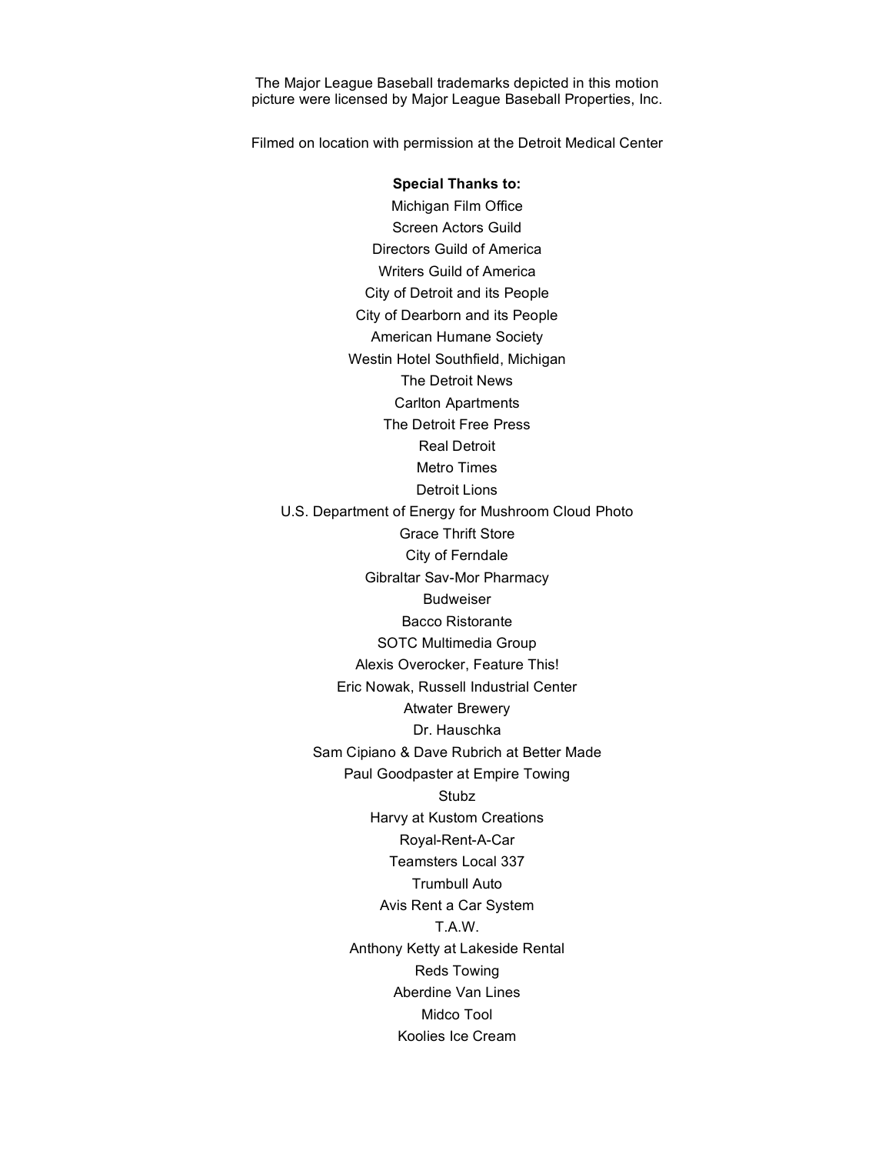The Major League Baseball trademarks depicted in this motion picture were licensed by Major League Baseball Properties, Inc.

Filmed on location with permission at the Detroit Medical Center

**Special Thanks to:** Michigan Film Office Screen Actors Guild Directors Guild of America Writers Guild of America City of Detroit and its People City of Dearborn and its People American Humane Society Westin Hotel Southfield, Michigan The Detroit News Carlton Apartments The Detroit Free Press Real Detroit Metro Times Detroit Lions U.S. Department of Energy for Mushroom Cloud Photo Grace Thrift Store City of Ferndale Gibraltar Sav-Mor Pharmacy Budweiser Bacco Ristorante SOTC Multimedia Group Alexis Overocker, Feature This! Eric Nowak, Russell Industrial Center Atwater Brewery Dr. Hauschka Sam Cipiano & Dave Rubrich at Better Made Paul Goodpaster at Empire Towing Stubz Harvy at Kustom Creations Royal-Rent-A-Car Teamsters Local 337 Trumbull Auto Avis Rent a Car System T.A.W. Anthony Ketty at Lakeside Rental Reds Towing Aberdine Van Lines Midco Tool Koolies Ice Cream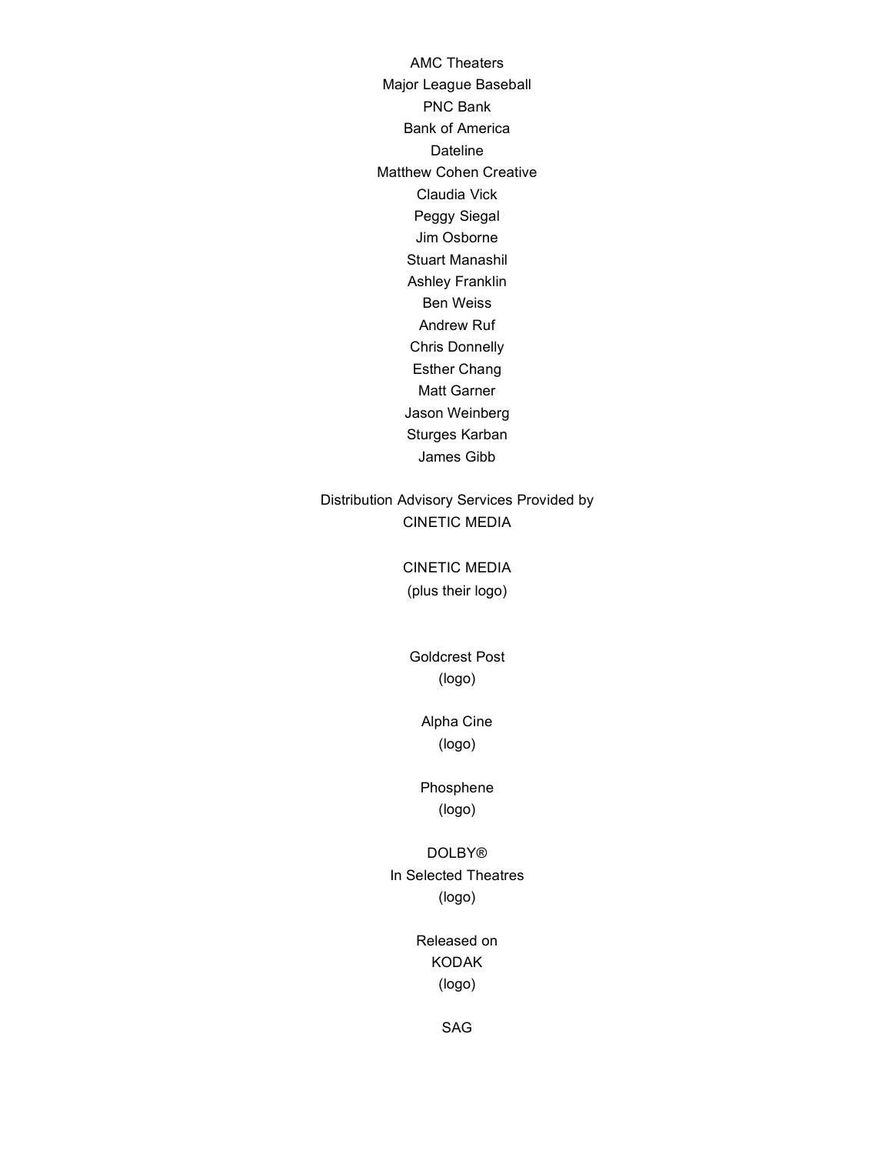AMC Theaters Major League Baseball PNC Bank Bank of America **Dateline** Matthew Cohen Creative Claudia Vick Peggy Siegal Jim Osborne Stuart Manashil Ashley Franklin Ben Weiss Andrew Ruf Chris Donnelly Esther Chang Matt Garner Jason Weinberg Sturges Karban James Gibb

#### Distribution Advisory Services Provided by CINETIC MEDIA

CINETIC MEDIA (plus their logo)

Goldcrest Post (logo)

> Alpha Cine (logo)

Phosphene (logo)

DOLBY® In Selected Theatres (logo)

> Released on KODAK (logo)

> > SAG